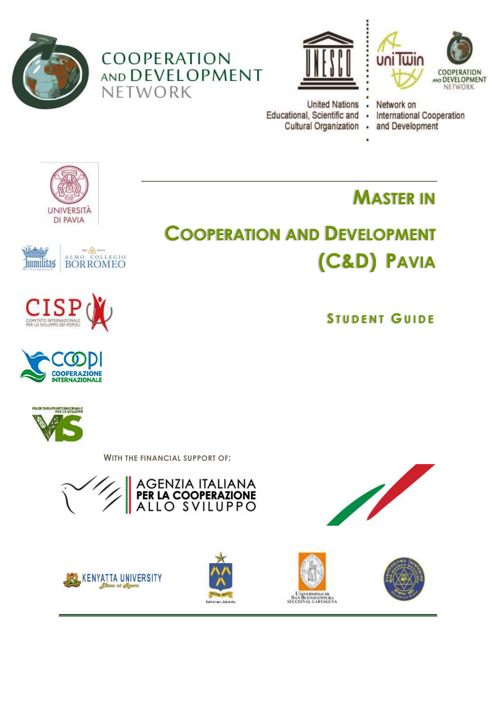









Network on **International Cooperation** and Development



**humilitas** 

**CISE** 

ALMO COLLEGIO

**BORROMEO** 



**S T U D E N T G U I D E**

**MASTER IN**





WITH THE FINANCIAL SUPPORT OF:









**UNIVERSIDAD DE SAN BLEVOYEVELRA**<br>SECCIONAL CARTAGENA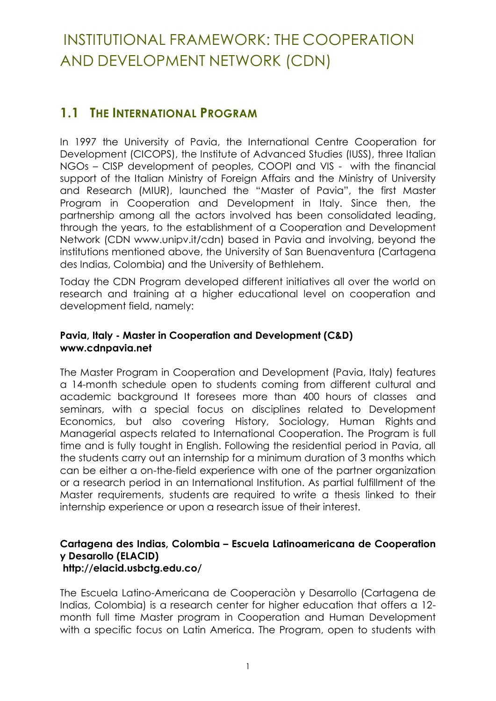# INSTITUTIONAL FRAMEWORK: THE COOPERATION AND DEVELOPMENT NETWORK (CDN)

# **1.1 THE INTERNATIONAL PROGRAM**

In 1997 the University of Pavia, the International Centre Cooperation for Development (CICOPS), the Institute of Advanced Studies (IUSS), three Italian NGOs – CISP development of peoples, COOPI and VIS - with the financial support of the Italian Ministry of Foreign Affairs and the Ministry of University and Research (MIUR), launched the "Master of Pavia", the first Master Program in Cooperation and Development in Italy. Since then, the partnership among all the actors involved has been consolidated leading, through the years, to the establishment of a Cooperation and Development Network (CDN [www.unipv.it/cdn\)](http://www-3.unipv.it/cdn/) based in Pavia and involving, beyond the institutions mentioned above, the University of San Buenaventura (Cartagena des Indias, Colombia) and the University of Bethlehem.

Today the CDN Program developed different initiatives all over the world on research and training at a higher educational level on cooperation and development field, namely:

### **Pavia, Italy - Master in Cooperation and Development (C&D) [www.cdnpavia.net](http://www.unipv.it/cdn)**

The Master Program in Cooperation and Development (Pavia, Italy) features a 14-month schedule open to students coming from different cultural and academic background It foresees more than 400 hours of classes and seminars, with a special focus on disciplines related to Development Economics, but also covering History, Sociology, Human Rights and Managerial aspects related to International Cooperation. The Program is full time and is fully tought in English. Following the residential period in Pavia, all the students carry out an internship for a minimum duration of 3 months which can be either a on-the-field experience with one of the partner organization or a research period in an International Institution. As partial fulfillment of the Master requirements, students are required to write a thesis linked to their internship experience or upon a research issue of their interest.

#### **Cartagena des Indias, Colombia – Escuela Latinoamericana de Cooperation y Desarollo (ELACID) <http://elacid.usbctg.edu.co/>**

The Escuela Latino-Americana de Cooperaciòn y Desarrollo (Cartagena de Indias, Colombia) is a research center for higher education that offers a 12 month full time Master program in Cooperation and Human Development with a specific focus on Latin America. The Program, open to students with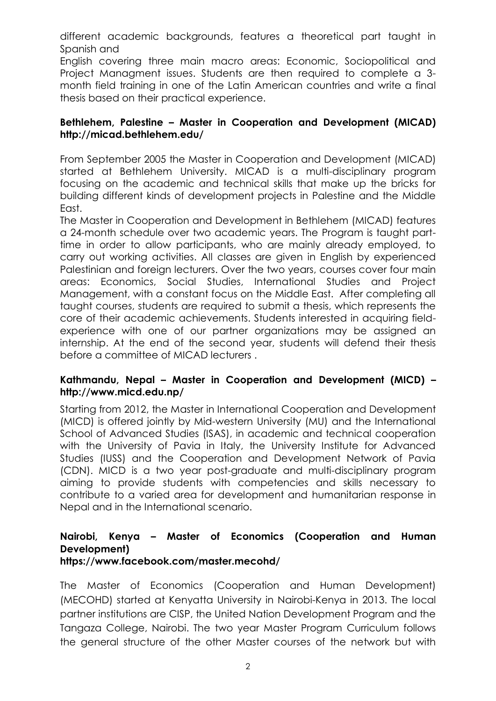different academic backgrounds, features a theoretical part taught in Spanish and

English covering three main macro areas: Economic, Sociopolitical and Project Managment issues. Students are then required to complete a 3 month field training in one of the Latin American countries and write a final thesis based on their practical experience.

#### **Bethlehem, Palestine – Master in Cooperation and Development (MICAD) <http://micad.bethlehem.edu/>**

From September 2005 the Master in Cooperation and Development (MICAD) started at Bethlehem University. MICAD is a multi-disciplinary program focusing on the academic and technical skills that make up the bricks for building different kinds of development projects in Palestine and the Middle East.

The Master in Cooperation and Development in Bethlehem (MICAD) features a 24-month schedule over two academic years. The Program is taught parttime in order to allow participants, who are mainly already employed, to carry out working activities. All classes are given in English by experienced Palestinian and foreign lecturers. Over the two years, courses cover four main areas: Economics, Social Studies, International Studies and Project Management, with a constant focus on the Middle East. After completing all taught courses, students are required to submit a thesis, which represents the core of their academic achievements. Students interested in acquiring fieldexperience with one of our partner organizations may be assigned an internship. At the end of the second year, students will defend their thesis before a committee of MICAD lecturers .

### **Kathmandu, Nepal – Master in Cooperation and Development (MICD) – <http://www.micd.edu.np/>**

Starting from 2012, the Master in International Cooperation and Development (MICD) is offered jointly by Mid-western University (MU) and the International School of Advanced Studies (ISAS), in academic and technical cooperation with the University of Pavia in Italy, the University Institute for Advanced Studies (IUSS) and the Cooperation and Development Network of Pavia (CDN). MICD is a two year post-graduate and multi-disciplinary program aiming to provide students with competencies and skills necessary to contribute to a varied area for development and humanitarian response in Nepal and in the International scenario.

### **Nairobi, Kenya – Master of Economics (Cooperation and Human Development)**

### **https://www.facebook.com/master.mecohd/**

The Master of Economics (Cooperation and Human Development) (MECOHD) started at Kenyatta University in Nairobi-Kenya in 2013. The local partner institutions are CISP, the United Nation Development Program and the Tangaza College, Nairobi. The two year Master Program Curriculum follows the general structure of the other Master courses of the network but with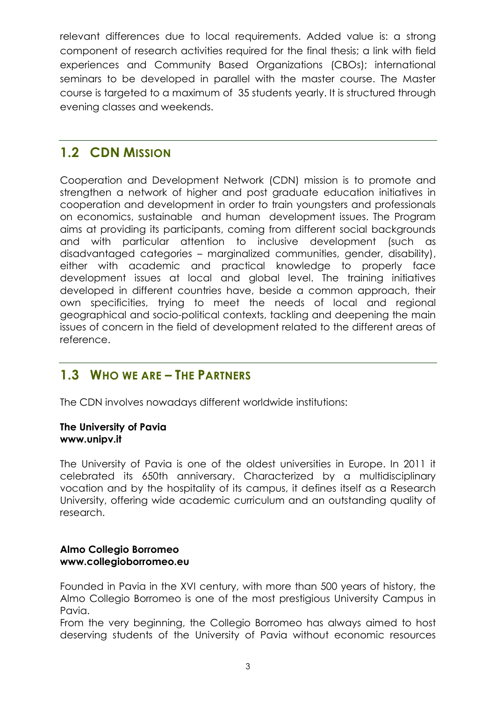relevant differences due to local requirements. Added value is: a strong component of research activities required for the final thesis; a link with field experiences and Community Based Organizations (CBOs); international seminars to be developed in parallel with the master course. The Master course is targeted to a maximum of 35 students yearly. It is structured through evening classes and weekends.

# **1.2 CDN MISSION**

Cooperation and Development Network (CDN) mission is to promote and strengthen a network of higher and post graduate education initiatives in cooperation and development in order to train youngsters and professionals on economics, sustainable and human development issues. The Program aims at providing its participants, coming from different social backgrounds and with particular attention to inclusive development (such as disadvantaged categories – marginalized communities, gender, disability), either with academic and practical knowledge to properly face development issues at local and global level. The training initiatives developed in different countries have, beside a common approach, their own specificities, trying to meet the needs of local and regional geographical and socio-political contexts, tackling and deepening the main issues of concern in the field of development related to the different areas of reference.

## **1.3 WHO WE ARE – THE PARTNERS**

The CDN involves nowadays different worldwide institutions:

#### **The University of Pavia [www.unipv.it](http://www.unipv.eu/on-line/en/Home.html)**

The University of Pavia is one of the oldest universities in Europe. In 2011 it celebrated its 650th anniversary. Characterized by a multidisciplinary vocation and by the hospitality of its campus, it defines itself as a Research University, offering wide academic curriculum and an outstanding quality of research.

#### **Almo Collegio Borromeo www.collegioborromeo.eu**

Founded in Pavia in the XVI century, with more than 500 years of history, the Almo Collegio Borromeo is one of the most prestigious University Campus in Pavia.

From the very beginning, the Collegio Borromeo has always aimed to host deserving students of the University of Pavia without economic resources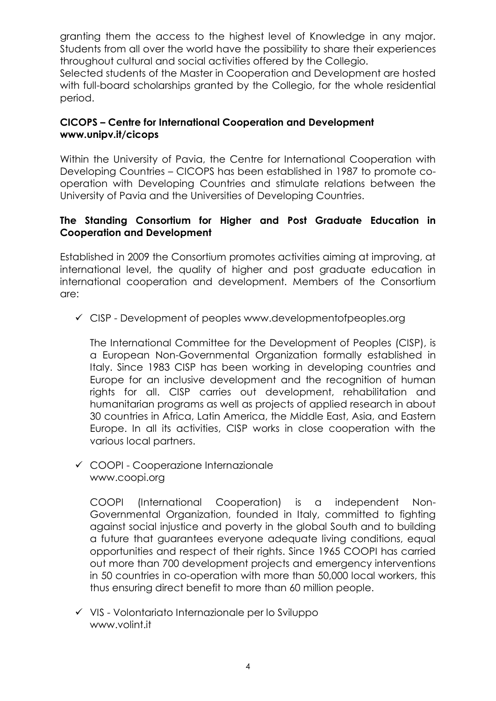granting them the access to the highest level of Knowledge in any major. Students from all over the world have the possibility to share their experiences throughout cultural and social activities offered by the Collegio.

Selected students of the Master in Cooperation and Development are hosted with full-board scholarships granted by the Collegio, for the whole residential period.

### **CICOPS – Centre for International Cooperation and Development [www.unipv.it/cicops](http://www.unipv.eu/on-line/en/Home/InternationalRelations/CICOPS.html)**

Within the University of Pavia, the Centre for International Cooperation with Developing Countries – CICOPS has been established in 1987 to promote cooperation with Developing Countries and stimulate relations between the University of Pavia and the Universities of Developing Countries.

### **The Standing Consortium for Higher and Post Graduate Education in Cooperation and Development**

Established in 2009 the Consortium promotes activities aiming at improving, at international level, the quality of higher and post graduate education in international cooperation and development. Members of the Consortium are:

 $\checkmark$  CISP - Development of peoples [www.developmentofpeoples.org](http://www.developmentofpeoples.org/)

The International Committee for the Development of Peoples (CISP), is a European Non-Governmental Organization formally established in Italy. Since 1983 CISP has been working in developing countries and Europe for an inclusive development and the recognition of human rights for all. CISP carries out development, rehabilitation and humanitarian programs as well as projects of applied research in about 30 countries in Africa, Latin America, the Middle East, Asia, and Eastern Europe. In all its activities, CISP works in close cooperation with the various local partners.

 COOPI - Cooperazione Internazionale [www.coopi.org](http://www.coopi.org/)

COOPI (International Cooperation) is a independent Non-Governmental Organization, founded in Italy, committed to fighting against social injustice and poverty in the global South and to building a future that guarantees everyone adequate living conditions, equal opportunities and respect of their rights. Since 1965 COOPI has carried out more than 700 development projects and emergency interventions in 50 countries in co-operation with more than 50,000 local workers, this thus ensuring direct benefit to more than 60 million people.

 $\checkmark$  VIS - Volontariato Internazionale per lo Sviluppo [www.volint.it](http://www.volint.it/)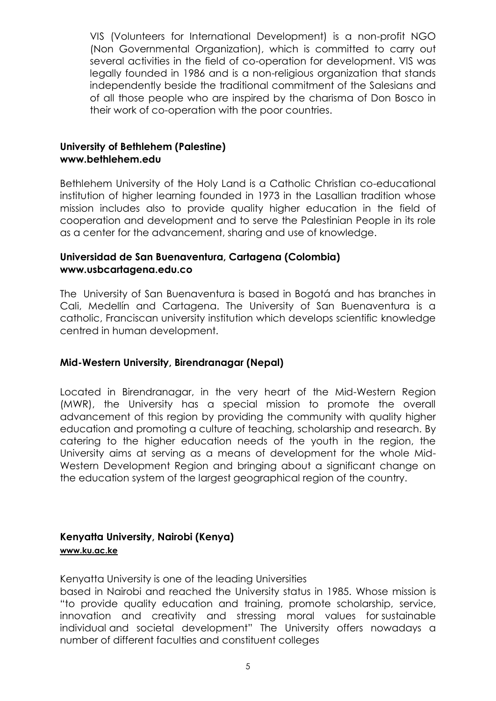VIS (Volunteers for International Development) is a non-profit NGO (Non Governmental Organization), which is committed to carry out several activities in the field of co-operation for development. VIS was legally founded in 1986 and is a non-religious organization that stands independently beside the traditional commitment of the Salesians and of all those people who are inspired by the charisma of Don Bosco in their work of co-operation with the poor countries.

### **University of Bethlehem (Palestine) [www.bethlehem.edu](http://www.bethlehem.edu/index.php)**

Bethlehem University of the Holy Land is a Catholic Christian co-educational institution of higher learning founded in 1973 in the [Lasallian](http://www.delasalle.ac.id/network.html) tradition whose mission includes also to provide quality higher education in the field of cooperation and development and to serve the Palestinian People in its role as a center for the advancement, sharing and use of knowledge.

### **Universidad de San Buenaventura, Cartagena (Colombia) [www.usbcartagena.edu.co](http://www.usbcartagena.edu.co/)**

The University of San Buenaventura is based in Bogotá and has branches in Cali, Medellín and Cartagena. The University of San Buenaventura is a catholic, Franciscan university institution which develops scientific knowledge centred in human development.

### **Mid-Western University, Birendranagar (Nepal)**

Located in Birendranagar, in the very heart of the Mid-Western Region (MWR), the University has a special mission to promote the overall advancement of this region by providing the community with quality higher education and promoting a culture of teaching, scholarship and research. By catering to the higher education needs of the youth in the region, the University aims at serving as a means of development for the whole Mid-Western Development Region and bringing about a significant change on the education system of the largest geographical region of the country.

## **Kenyatta University, Nairobi (Kenya)**

#### **[www.ku.ac.ke](http://www.ku.ac.ke/)**

Kenyatta University is one of the leading Universities

based in Nairobi and reached the University status in 1985. Whose mission is "to provide quality education and training, promote scholarship, service, innovation and creativity and stressing moral values for sustainable individual and societal development" The University offers nowadays a number of different faculties and constituent colleges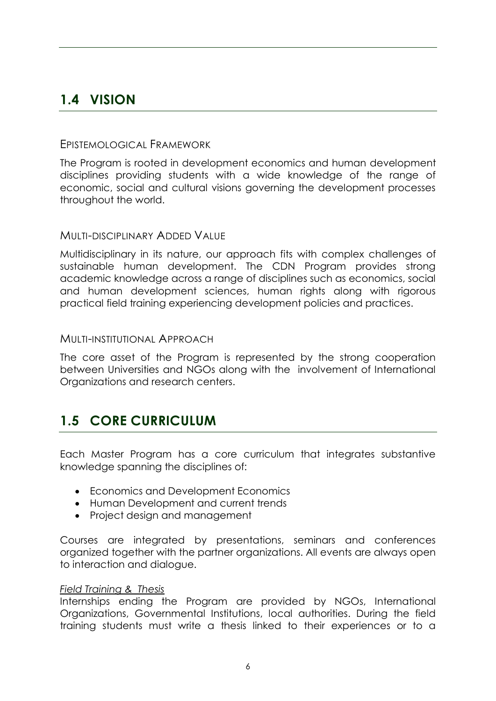# **1.4 VISION**

### EPISTEMOLOGICAL FRAMEWORK

The Program is rooted in development economics and human development disciplines providing students with a wide knowledge of the range of economic, social and cultural visions governing the development processes throughout the world.

#### MULTI-DISCIPLINARY ADDED VALUE

Multidisciplinary in its nature, our approach fits with complex challenges of sustainable human development. The CDN Program provides strong academic knowledge across a range of disciplines such as economics, social and human development sciences, human rights along with rigorous practical field training experiencing development policies and practices.

#### MULTI-INSTITUTIONAL APPROACH

The core asset of the Program is represented by the strong cooperation between Universities and NGOs along with the involvement of International Organizations and research centers.

# **1.5 CORE CURRICULUM**

Each Master Program has a core curriculum that integrates substantive knowledge spanning the disciplines of:

- Economics and Development Economics
- Human Development and current trends
- Project design and management

Courses are integrated by presentations, seminars and conferences organized together with the partner organizations. All events are always open to interaction and dialogue.

#### *Field Training & Thesis*

Internships ending the Program are provided by NGOs, International Organizations, Governmental Institutions, local authorities. During the field training students must write a thesis linked to their experiences or to a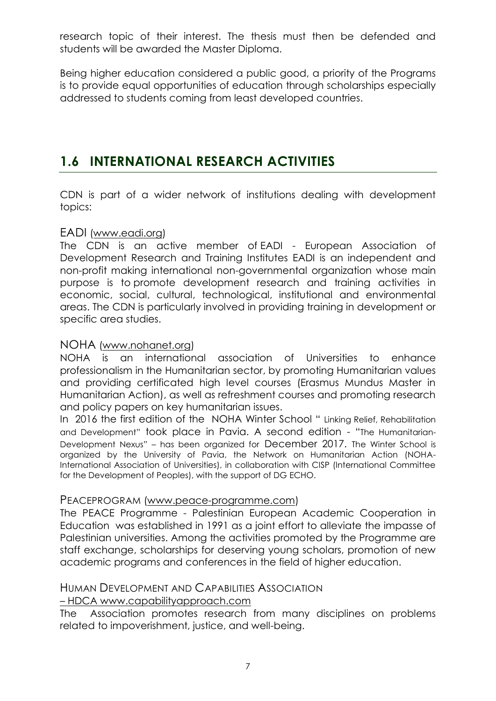research topic of their interest. The thesis must then be defended and students will be awarded the Master Diploma.

Being higher education considered a public good, a priority of the Programs is to provide equal opportunities of education through scholarships especially addressed to students coming from least developed countries.

# **1.6 INTERNATIONAL RESEARCH ACTIVITIES**

CDN is part of a wider network of institutions dealing with development topics:

### EADI [\(www.eadi.org\)](file:///C:/Users/Margherita/Downloads/www.eadi.org)

The CDN is an active member of EADI - European Association of Development Research and Training Institutes EADI is an independent and non-profit making international non-governmental organization whose main purpose is to promote development research and training activities in economic, social, cultural, technological, institutional and environmental areas. The CDN is particularly involved in providing training in development or specific area studies.

### NOHA [\(www.nohanet.org\)](http://www.nohanet.org/)

NOHA is an international association of Universities to enhance professionalism in the Humanitarian sector, by promoting Humanitarian values and providing certificated high level courses (Erasmus Mundus Master in Humanitarian Action), as well as refreshment courses and promoting research and policy papers on key humanitarian issues.

In 2016 the first edition of the NOHA Winter School " Linking Relief, Rehabilitation and Development" took place in Pavia. A second edition - "The Humanitarian-Development Nexus" – has been organized for December 2017. The Winter School is organized by the University of Pavia, the Network on Humanitarian Action (NOHA-International Association of Universities), in collaboration with CISP (International Committee for the Development of Peoples), with the support of DG ECHO.

### PEACEPROGRAM [\(www.peace-programme.com\)](http://www.peace-programme.com/)

The PEACE Programme - Palestinian European Academic Cooperation in Education was established in 1991 as a joint effort to alleviate the impasse of Palestinian universities. Among the activities promoted by the Programme are staff exchange, scholarships for deserving young scholars, promotion of new academic programs and conferences in the field of higher education.

### HUMAN DEVELOPMENT AND CAPABILITIES ASSOCIATION

– HDCA [www.capabilityapproach.com](http://www.capabilityapproach.com/)

The Association promotes research from many disciplines on problems related to impoverishment, justice, and well-being.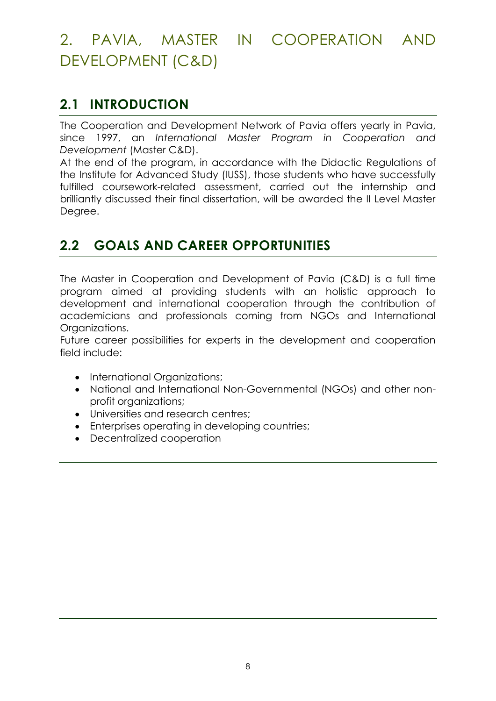# 2. PAVIA, MASTER IN COOPERATION AND DEVELOPMENT (C&D)

# **2.1 INTRODUCTION**

The Cooperation and Development Network of Pavia offers yearly in Pavia, since 1997, an *International Master Program in Cooperation and Development* (Master C&D).

At the end of the program, in accordance with the Didactic Regulations of the Institute for Advanced Study (IUSS), those students who have successfully fulfilled coursework-related assessment, carried out the internship and brilliantly discussed their final dissertation, will be awarded the II Level Master Degree.

# **2.2 GOALS AND CAREER OPPORTUNITIES**

The Master in Cooperation and Development of Pavia (C&D) is a full time program aimed at providing students with an holistic approach to development and international cooperation through the contribution of academicians and professionals coming from NGOs and International Organizations.

Future career possibilities for experts in the development and cooperation field include:

- International Organizations;
- National and International Non-Governmental (NGOs) and other nonprofit organizations;
- Universities and research centres;
- Enterprises operating in developing countries;
- Decentralized cooperation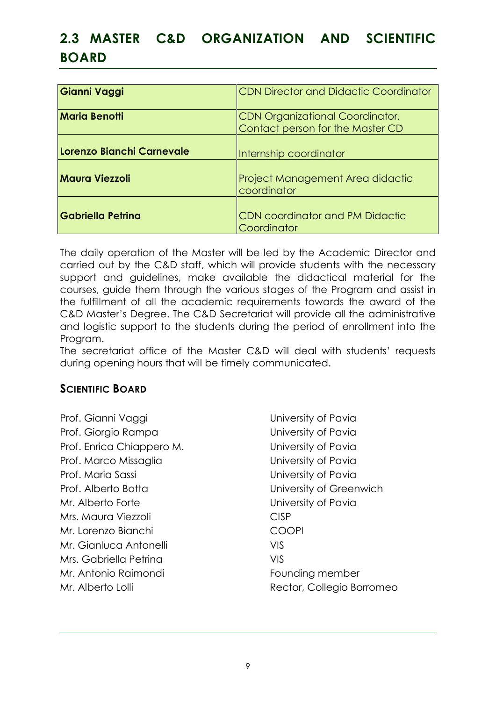# **2.3 MASTER C&D ORGANIZATION AND SCIENTIFIC BOARD**

| Gianni Vaggi              | <b>CDN Director and Didactic Coordinator</b>                               |
|---------------------------|----------------------------------------------------------------------------|
| <b>Maria Benotti</b>      | <b>CDN Organizational Coordinator,</b><br>Contact person for the Master CD |
| Lorenzo Bianchi Carnevale | Internship coordinator                                                     |
| <b>Maura Viezzoli</b>     | Project Management Area didactic<br>coordinator                            |
| <b>Gabriella Petrina</b>  | <b>CDN</b> coordinator and PM Didactic<br>Coordinator                      |

The daily operation of the Master will be led by the Academic Director and carried out by the C&D staff, which will provide students with the necessary support and guidelines, make available the didactical material for the courses, guide them through the various stages of the Program and assist in the fulfillment of all the academic requirements towards the award of the C&D Master's Degree. The C&D Secretariat will provide all the administrative and logistic support to the students during the period of enrollment into the Program.

The secretariat office of the Master C&D will deal with students' requests during opening hours that will be timely communicated.

### **SCIENTIFIC BOARD**

- Prof. Gianni Vaggi Vanni Vaggi Vanni Vaggi Vanni Vaggi Vanni Vanni Vanni Vanni Vanni Vanni Vanni Vanni Vanni V Prof. Giorgio Rampa University of Pavia Prof. Enrica Chiappero M. University of Pavia Prof. Marco Missaglia **New York Constructs** University of Pavia Prof. Maria Sassi University of Pavia Prof. Alberto Botta **Interversity of Greenwich** Mr. Alberto Forte **No. 2018** University of Pavia Mrs. Maura Viezzoli CISP Mr. Lorenzo Bianchi COOPI Mr. Gianluca Antonelli VIS Mrs. Gabriella Petrina VIS Mr. Antonio Raimondi et al. et al. et al. et al. et al. et al. et al. et al. et al. et al. et al. et al. et al Mr. Alberto Lolli **Mr. Alberto Lolli** Rector, Collegio Borromeo
-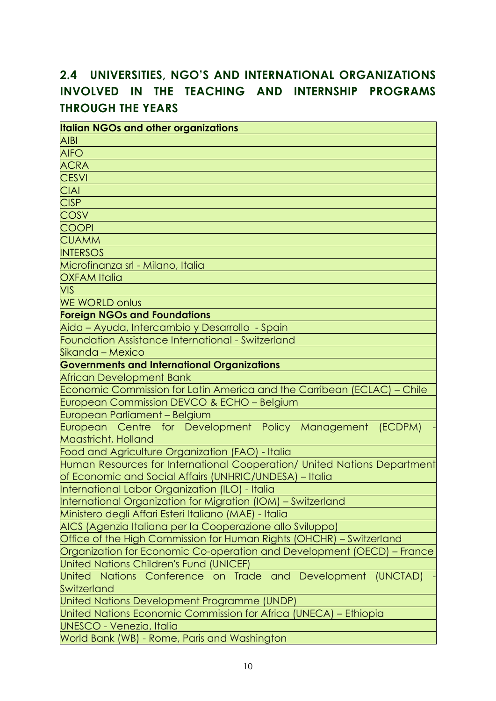# **2.4 UNIVERSITIES, NGO'S AND INTERNATIONAL ORGANIZATIONS INVOLVED IN THE TEACHING AND INTERNSHIP PROGRAMS THROUGH THE YEARS**

| <b>Italian NGOs and other organizations</b>                              |
|--------------------------------------------------------------------------|
| <b>AIBI</b>                                                              |
| <b>AIFO</b>                                                              |
| <b>ACRA</b>                                                              |
| <b>CESVI</b>                                                             |
| <b>CIAI</b>                                                              |
| <b>CISP</b>                                                              |
| <b>COSV</b>                                                              |
| <b>COOPI</b>                                                             |
| <b>CUAMM</b>                                                             |
| <b>INTERSOS</b>                                                          |
| Microfinanza srl - Milano, Italia                                        |
| <b>OXFAM Italia</b>                                                      |
| <b>VIS</b>                                                               |
| <b>WE WORLD onlus</b>                                                    |
| <b>Foreign NGOs and Foundations</b>                                      |
| Aida - Ayuda, Intercambio y Desarrollo - Spain                           |
| Foundation Assistance International - Switzerland                        |
| Sikanda - Mexico                                                         |
| <b>Governments and International Organizations</b>                       |
| African Development Bank                                                 |
| Economic Commission for Latin America and the Carribean (ECLAC) - Chile  |
| European Commission DEVCO & ECHO - Belgium                               |
| European Parliament - Belgium                                            |
| European Centre for Development Policy Management (ECDPM)                |
| Maastricht, Holland                                                      |
| Food and Agriculture Organization (FAO) - Italia                         |
| Human Resources for International Cooperation/ United Nations Department |
| of Economic and Social Affairs (UNHRIC/UNDESA) – Italia                  |
| International Labor Organization (ILO) - Italia                          |
| International Organization for Migration (IOM) - Switzerland             |
| Ministero degli Affari Esteri Italiano (MAE) - Italia                    |
| AICS (Agenzia Italiana per la Cooperazione allo Sviluppo)                |
| Office of the High Commission for Human Rights (OHCHR) - Switzerland     |
| Organization for Economic Co-operation and Development (OECD) - France   |
| <b>United Nations Children's Fund (UNICEF)</b>                           |
| United Nations Conference on Trade and Development (UNCTAD)              |
| Switzerland                                                              |
| United Nations Development Programme (UNDP)                              |
| United Nations Economic Commission for Africa (UNECA) - Ethiopia         |
| <b>UNESCO - Venezia, Italia</b>                                          |
| World Bank (WB) - Rome, Paris and Washington                             |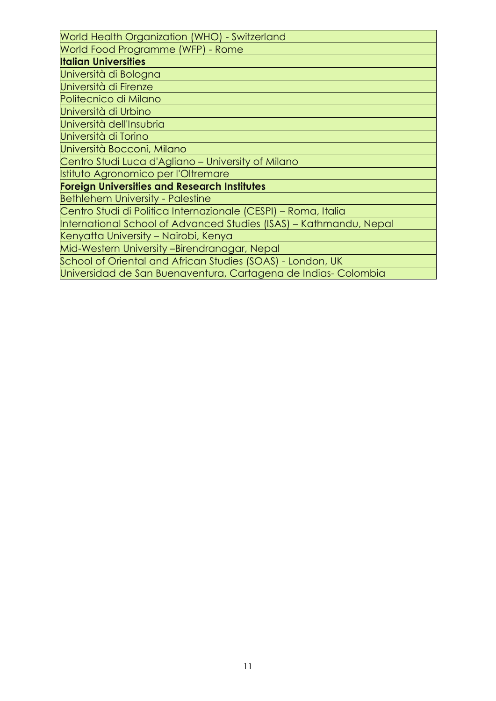| World Health Organization (WHO) - Switzerland                      |
|--------------------------------------------------------------------|
| World Food Programme (WFP) - Rome                                  |
| <b>Italian Universities</b>                                        |
| Università di Bologna                                              |
| Università di Firenze                                              |
| Politecnico di Milano                                              |
| Università di Urbino                                               |
| Università dell'Insubria                                           |
| Università di Torino                                               |
| Università Bocconi, Milano                                         |
| Centro Studi Luca d'Agliano – University of Milano                 |
| Istituto Agronomico per l'Oltremare                                |
| <b>Foreign Universities and Research Institutes</b>                |
| <b>Bethlehem University - Palestine</b>                            |
| Centro Studi di Politica Internazionale (CESPI) - Roma, Italia     |
| International School of Advanced Studies (ISAS) - Kathmandu, Nepal |
| Kenyatta University – Nairobi, Kenya                               |
| Mid-Western University -Birendranagar, Nepal                       |
| School of Oriental and African Studies (SOAS) - London, UK         |
| Universidad de San Buenaventura, Cartagena de Indias-Colombia      |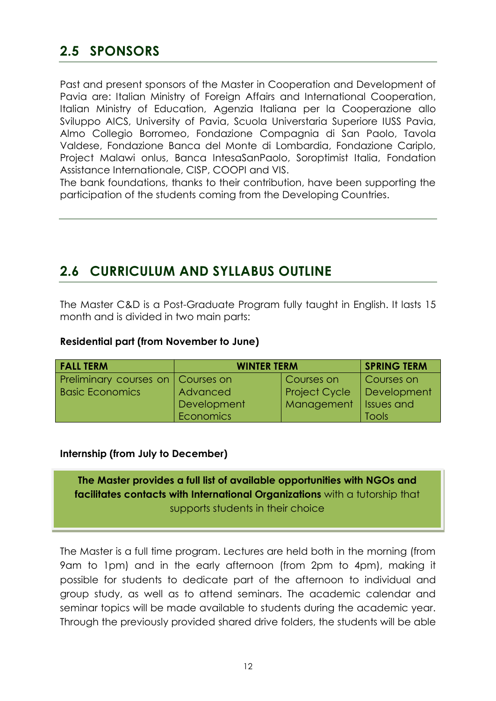# **2.5 SPONSORS**

Past and present sponsors of the Master in Cooperation and Development of Pavia are: Italian Ministry of Foreign Affairs and International Cooperation, Italian Ministry of Education, Agenzia Italiana per la Cooperazione allo Sviluppo AICS, University of Pavia, Scuola Universtaria Superiore IUSS Pavia, Almo Collegio Borromeo, Fondazione Compagnia di San Paolo, Tavola Valdese, Fondazione Banca del Monte di Lombardia, Fondazione Cariplo, Project Malawi onlus, Banca IntesaSanPaolo, Soroptimist Italia, Fondation Assistance Internationale, CISP, COOPI and VIS.

The bank foundations, thanks to their contribution, have been supporting the participation of the students coming from the Developing Countries.

# **2.6 CURRICULUM AND SYLLABUS OUTLINE**

The Master C&D is a Post-Graduate Program fully taught in English. It lasts 15 month and is divided in two main parts:

#### **Residential part (from November to June)**

| <b>FALL TERM</b>                  | <b>WINTER TERM</b> | <b>SPRING TERM</b>   |                   |
|-----------------------------------|--------------------|----------------------|-------------------|
| Preliminary courses on Courses on |                    | Courses on           | Courses on        |
| <b>Basic Economics</b>            | Advanced           | <b>Project Cycle</b> | Development       |
|                                   | Development        | Management           | <b>Issues and</b> |
|                                   | Economics          |                      | <b>Tools</b>      |

#### **Internship (from July to December)**

**The Master provides a full list of available opportunities with NGOs and facilitates contacts with International Organizations** with a tutorship that supports students in their choice

The Master is a full time program. Lectures are held both in the morning (from 9am to 1pm) and in the early afternoon (from 2pm to 4pm), making it possible for students to dedicate part of the afternoon to individual and group study, as well as to attend seminars. The academic calendar and seminar topics will be made available to students during the academic year. Through the previously provided shared drive folders, the students will be able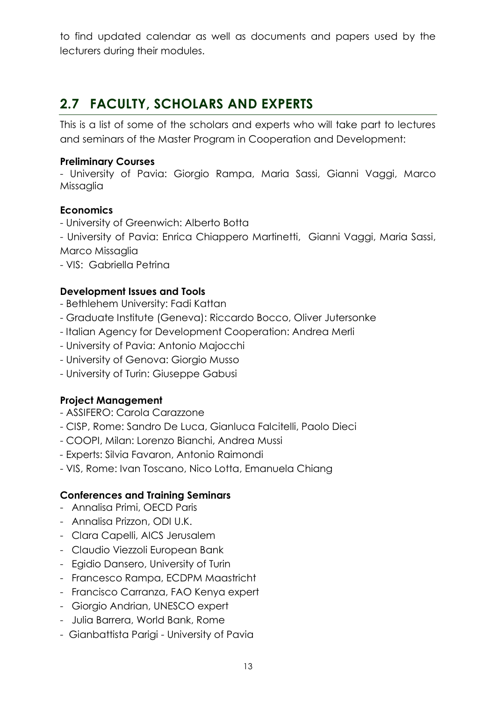to find updated calendar as well as documents and papers used by the lecturers during their modules.

# **2.7 FACULTY, SCHOLARS AND EXPERTS**

This is a list of some of the scholars and experts who will take part to lectures and seminars of the Master Program in Cooperation and Development:

### **Preliminary Courses**

- University of Pavia: Giorgio Rampa, Maria Sassi, Gianni Vaggi, Marco Missaglia

### **Economics**

- University of Greenwich: Alberto Botta
- University of Pavia: Enrica Chiappero Martinetti, Gianni Vaggi, Maria Sassi, Marco Missaglia
- VIS: Gabriella Petrina

### **Development Issues and Tools**

- Bethlehem University: Fadi Kattan
- Graduate Institute (Geneva): Riccardo Bocco, Oliver Jutersonke
- Italian Agency for Development Cooperation: Andrea Merli
- University of Pavia: Antonio Majocchi
- University of Genova: Giorgio Musso
- University of Turin: Giuseppe Gabusi

### **Project Management**

- ASSIFERO: Carola Carazzone
- CISP, Rome: Sandro De Luca, Gianluca Falcitelli, Paolo Dieci
- COOPI, Milan: Lorenzo Bianchi, Andrea Mussi
- *-* Experts: Silvia Favaron, Antonio Raimondi
- VIS, Rome: Ivan Toscano, Nico Lotta, Emanuela Chiang

### **Conferences and Training Seminars**

- Annalisa Primi, OECD Paris
- Annalisa Prizzon, ODI U.K.
- Clara Capelli, AICS Jerusalem
- Claudio Viezzoli European Bank
- Egidio Dansero, University of Turin
- Francesco Rampa, ECDPM Maastricht
- Francisco Carranza, FAO Kenya expert
- Giorgio Andrian, UNESCO expert
- Julia Barrera, World Bank, Rome
- Gianbattista Parigi University of Pavia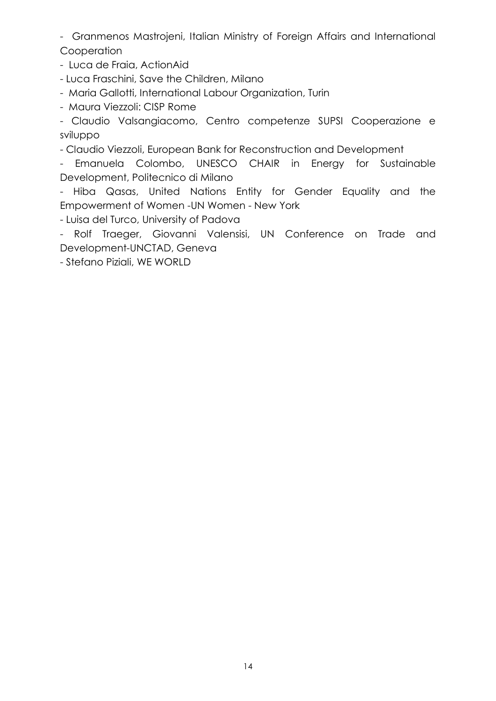- Granmenos Mastrojeni, Italian Ministry of Foreign Affairs and International **Cooperation** 

- Luca de Fraia, ActionAid

- Luca Fraschini, Save the Children, Milano

- Maria Gallotti, International Labour Organization, Turin

- Maura Viezzoli: CISP Rome

- Claudio Valsangiacomo, Centro competenze SUPSI Cooperazione e sviluppo

- Claudio Viezzoli, European Bank for Reconstruction and Development

- Emanuela Colombo, UNESCO CHAIR in Energy for Sustainable Development, Politecnico di Milano

- Hiba Qasas, United Nations Entity for Gender Equality and the Empowerment of Women -UN Women - New York

- Luisa del Turco, University of Padova

- Rolf Traeger, Giovanni Valensisi, UN Conference on Trade and Development-UNCTAD, Geneva

- Stefano Piziali, WE WORLD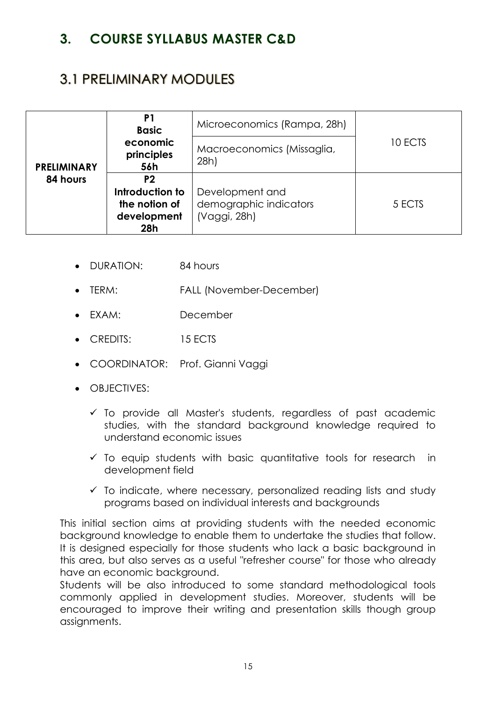# **3. COURSE SYLLABUS MASTER C&D**

# 3.1 PRELIMINARY MODULES

|                    | P <sub>1</sub><br><b>Basic</b>                                           | Microeconomics (Rampa, 28h)                               |         |
|--------------------|--------------------------------------------------------------------------|-----------------------------------------------------------|---------|
| <b>PRELIMINARY</b> | economic<br>principles<br>56h                                            | Macroeconomics (Missaglia,<br>28h                         | 10 ECTS |
| 84 hours           | P <sub>2</sub><br>Introduction to<br>the notion of<br>development<br>28h | Development and<br>demographic indicators<br>(Vaggi, 28h) | 5 ECTS  |

- DURATION: 84 hours
- TERM: FALL (November-December)
- EXAM: December
- CREDITS: 15 ECTS
- COORDINATOR: Prof. Gianni Vaggi
- OBJECTIVES:
	- $\checkmark$  To provide all Master's students, regardless of past academic studies, with the standard background knowledge required to understand economic issues
	- $\checkmark$  To equip students with basic quantitative tools for research in development field
	- $\checkmark$  To indicate, where necessary, personalized reading lists and study programs based on individual interests and backgrounds

This initial section aims at providing students with the needed economic background knowledge to enable them to undertake the studies that follow. It is designed especially for those students who lack a basic background in this area, but also serves as a useful "refresher course" for those who already have an economic background.

Students will be also introduced to some standard methodological tools commonly applied in development studies. Moreover, students will be encouraged to improve their writing and presentation skills though group assignments.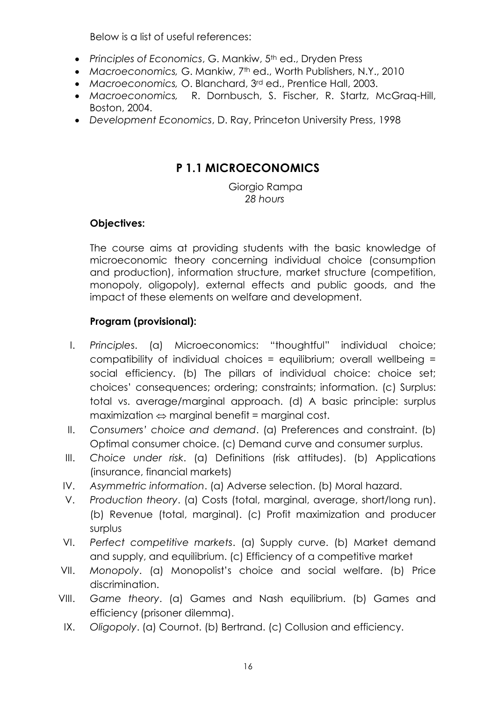Below is a list of useful references:

- Principles of Economics, G. Mankiw, 5<sup>th</sup> ed., Dryden Press
- *Macroeconomics,* G. Mankiw, 7th ed., Worth Publishers, N.Y., 2010
- *Macroeconomics,* O. Blanchard, 3rd ed., Prentice Hall, 2003.
- *Macroeconomics,* R. Dornbusch, S. Fischer, R. Startz, McGraq-Hill, Boston, 2004.
- *Development Economics*, D. Ray, Princeton University Press, 1998

# **P 1.1 MICROECONOMICS**

 Giorgio Rampa  *28 hours*

### **Objectives:**

The course aims at providing students with the basic knowledge of microeconomic theory concerning individual choice (consumption and production), information structure, market structure (competition, monopoly, oligopoly), external effects and public goods, and the impact of these elements on welfare and development.

### **Program (provisional):**

- I. *Principle*s. (a) Microeconomics: "thoughtful" individual choice; compatibility of individual choices = equilibrium; overall wellbeing = social efficiency. (b) The pillars of individual choice: choice set; choices' consequences; ordering; constraints; information. (c) Surplus: total vs. average/marginal approach. (d) A basic principle: surplus  $maximization \Leftrightarrow marginal beneath = marginal cost.$
- II. *Consumers' choice and demand*. (a) Preferences and constraint. (b) Optimal consumer choice. (c) Demand curve and consumer surplus.
- III. *Choice under risk*. (a) Definitions (risk attitudes). (b) Applications (insurance, financial markets)
- IV. *Asymmetric information*. (a) Adverse selection. (b) Moral hazard.
- V. *Production theory*. (a) Costs (total, marginal, average, short/long run). (b) Revenue (total, marginal). (c) Profit maximization and producer surplus
- VI. *Perfect competitive markets*. (a) Supply curve. (b) Market demand and supply, and equilibrium. (c) Efficiency of a competitive market
- VII. *Monopoly*. (a) Monopolist's choice and social welfare. (b) Price discrimination.
- VIII. *Game theory*. (a) Games and Nash equilibrium. (b) Games and efficiency (prisoner dilemma).
- IX. *Oligopoly*. (a) Cournot. (b) Bertrand. (c) Collusion and efficiency.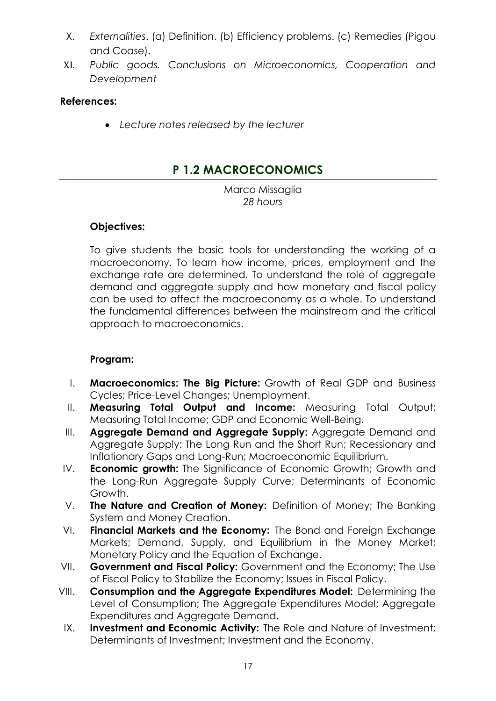- X. *Externalities*. (a) Definition. (b) Efficiency problems. (c) Remedies (Pigou and Coase).
- XI. *Public goods. Conclusions on Microeconomics, Cooperation and Development*

### **References:**

*Lecture notes released by the lecturer*

## **P 1.2 MACROECONOMICS**

Marco Missaglia *28 hours*

### **Objectives:**

To give students the basic tools for understanding the working of a macroeconomy. To learn how income, prices, employment and the exchange rate are determined. To understand the role of aggregate demand and aggregate supply and how monetary and fiscal policy can be used to affect the macroeconomy as a whole. To understand the fundamental differences between the mainstream and the critical approach to macroeconomics.

### **Program:**

- I. **Macroeconomics: The Big Picture:** Growth of Real GDP and Business Cycles; Price-Level Changes; Unemployment.
- II. **Measuring Total Output and Income:** Measuring Total Output; Measuring Total Income; GDP and Economic Well-Being.
- III. **Aggregate Demand and Aggregate Supply:** Aggregate Demand and Aggregate Supply: The Long Run and the Short Run; Recessionary and Inflationary Gaps and Long-Run; Macroeconomic Equilibrium.
- IV. **Economic growth:** The Significance of Economic Growth; Growth and the Long-Run Aggregate Supply Curve; Determinants of Economic Growth.
- V. **The Nature and Creation of Money:** Definition of Money; The Banking System and Money Creation.
- VI. **Financial Markets and the Economy:** The Bond and Foreign Exchange Markets; Demand, Supply, and Equilibrium in the Money Market; Monetary Policy and the Equation of Exchange.
- VII. **Government and Fiscal Policy:** Government and the Economy; The Use of Fiscal Policy to Stabilize the Economy; Issues in Fiscal Policy.
- VIII. **Consumption and the Aggregate Expenditures Model:** Determining the Level of Consumption; The Aggregate Expenditures Model; Aggregate Expenditures and Agaregate Demand.
- IX. **Investment and Economic Activity:** The Role and Nature of Investment; Determinants of Investment; Investment and the Economy.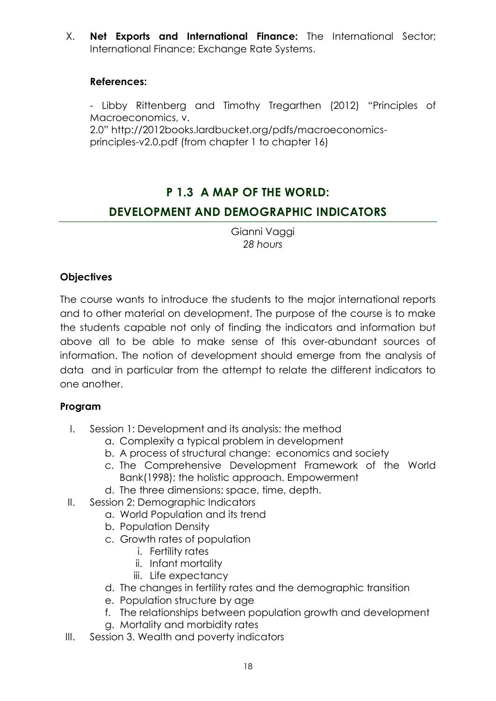X. **Net Exports and International Finance:** The International Sector; International Finance; Exchange Rate Systems.

### **References:**

- Libby Rittenberg and Timothy Tregarthen (2012) "Principles of Macroeconomics, v.

2.0" [http://2012books.lardbucket.org/pdfs/macroeconomics](http://2012books.lardbucket.org/pdfs/macroeconomics-principles-v2.0.pdf)[principles-v2.0.pdf](http://2012books.lardbucket.org/pdfs/macroeconomics-principles-v2.0.pdf) (from chapter 1 to chapter 16)

## **P 1.3 A MAP OF THE WORLD:**

### **DEVELOPMENT AND DEMOGRAPHIC INDICATORS**

Gianni Vaggi *28 hours*

### **Objectives**

The course wants to introduce the students to the major international reports and to other material on development. The purpose of the course is to make the students capable not only of finding the indicators and information but above all to be able to make sense of this over-abundant sources of information. The notion of development should emerge from the analysis of data and in particular from the attempt to relate the different indicators to one another.

### **Program**

- I. Session 1: Development and its analysis: the method
	- a. Complexity a typical problem in development
	- b. A process of structural change: economics and society
	- c. The Comprehensive Development Framework of the World Bank(1998); the holistic approach. Empowerment
	- d. The three dimensions: space, time, depth.
- II. Session 2: Demographic Indicators
	- a. World Population and its trend
	- b. Population Density
	- c. Growth rates of population
		- i. Fertility rates
		- ii. Infant mortality
		- iii. Life expectancy
	- d. The changes in fertility rates and the demographic transition
	- e. Population structure by age
	- f. The relationships between population growth and development
	- g. Mortality and morbidity rates
- III. Session 3. Wealth and poverty indicators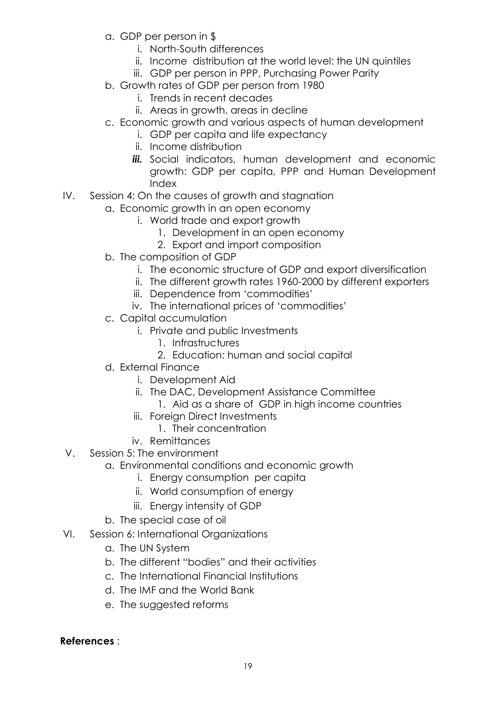- a. GDP per person in \$
	- i. North-South differences
	- ii. Income distribution at the world level: the UN quintiles
	- iii. GDP per person in PPP, Purchasing Power Parity
- b. Growth rates of GDP per person from 1980
	- i. Trends in recent decades
	- ii. Areas in growth, areas in decline
- c. Economic growth and various aspects of human development
	- i. GDP per capita and life expectancy
	- ii. Income distribution
	- **iii.** Social indicators, human development and economic growth: GDP per capita, PPP and Human Development Index
- IV. Session 4: On the causes of growth and stagnation
	- a. Economic growth in an open economy
		- i. World trade and export growth
			- 1. Development in an open economy
			- 2. Export and import composition
	- b. The composition of GDP
		- i. The economic structure of GDP and export diversification
		- ii. The different growth rates 1960-2000 by different exporters
		- iii. Dependence from 'commodities'
		- iv. The international prices of 'commodities'
	- c. Capital accumulation
		- i. Private and public Investments
			- 1. Infrastructures
			- 2. Education: human and social capital
	- d. External Finance
		- i. Development Aid
		- ii. The DAC, Development Assistance Committee
			- 1. Aid as a share of GDP in high income countries
		- iii. Foreign Direct Investments
			- 1. Their concentration
		- iv. Remittances
- V. Session 5: The environment
	- a. Environmental conditions and economic growth
		- i. Energy consumption per capita
		- ii. World consumption of energy
		- iii. Energy intensity of GDP
	- b. The special case of oil
- VI. Session 6: International Organizations
	- a. The UN System
	- b. The different "bodies" and their activities
	- c. The International Financial Institutions
	- d. The IMF and the World Bank
	- e. The suggested reforms

**References** :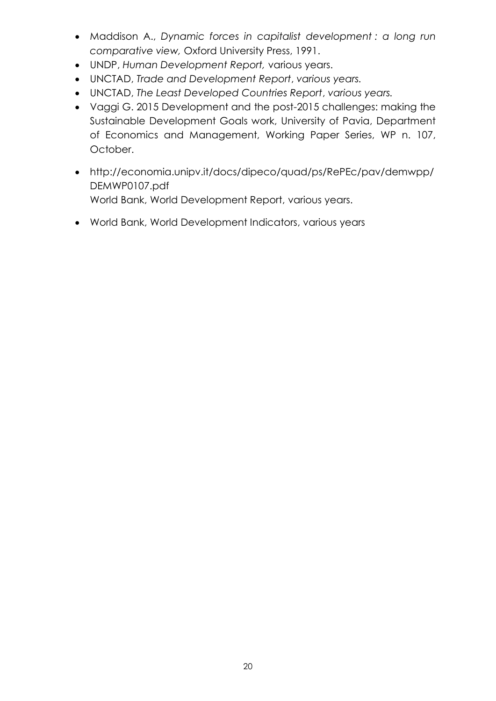- Maddison A., *Dynamic forces in capitalist development : a long run comparative view,* Oxford University Press, 1991.
- UNDP, *Human Development Report,* various years.
- UNCTAD, *Trade and Development Report*, *various years.*
- UNCTAD, *The Least Developed Countries Report*, *various years.*
- Vaggi G. 2015 Development and the post-2015 challenges: making the Sustainable Development Goals work, University of Pavia, Department of Economics and Management, Working Paper Series, WP n. 107, October.
- [http://economia.unipv.it/docs/dipeco/quad/ps/RePEc/pav/demwpp/](http://economia.unipv.it/docs/dipeco/quad/ps/RePEc/pav/demwpp/DEMWP0107.pdf) [DEMWP0107.pdf](http://economia.unipv.it/docs/dipeco/quad/ps/RePEc/pav/demwpp/DEMWP0107.pdf) World Bank, World Development Report, various years.
- World Bank, World Development Indicators, various years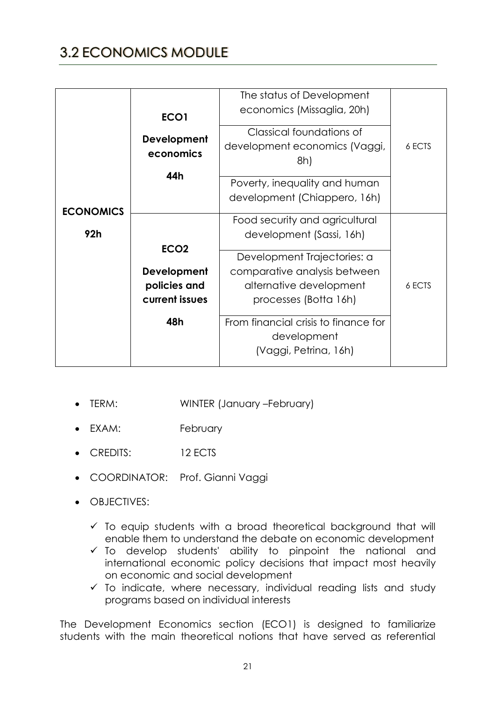# 3.2 ECONOMICS MODULE

| <b>ECONOMICS</b> | ECO1<br>Development<br>economics<br>44h                                  | The status of Development<br>economics (Missaglia, 20h)<br>Classical foundations of<br>development economics (Vaggi,<br>8h)<br>Poverty, inequality and human<br>development (Chiappero, 16h)                                                                  | 6 ECTS |
|------------------|--------------------------------------------------------------------------|---------------------------------------------------------------------------------------------------------------------------------------------------------------------------------------------------------------------------------------------------------------|--------|
| 92 <sub>h</sub>  | ECO <sub>2</sub><br>Development<br>policies and<br>current issues<br>48h | Food security and agricultural<br>development (Sassi, 16h)<br>Development Trajectories: a<br>comparative analysis between<br>alternative development<br>processes (Botta 16h)<br>From financial crisis to finance for<br>development<br>(Vaggi, Petrina, 16h) | 6 ECTS |

- TERM: WINTER (January –February)
- EXAM: February
- CREDITS: 12 FCTS
- COORDINATOR: Prof. Gianni Vaggi
- OBJECTIVES:
	- $\checkmark$  To equip students with a broad theoretical background that will enable them to understand the debate on economic development
	- $\checkmark$  To develop students' ability to pinpoint the national and international economic policy decisions that impact most heavily on economic and social development
	- $\checkmark$  To indicate, where necessary, individual reading lists and study programs based on individual interests

The Development Economics section (ECO1) is designed to familiarize students with the main theoretical notions that have served as referential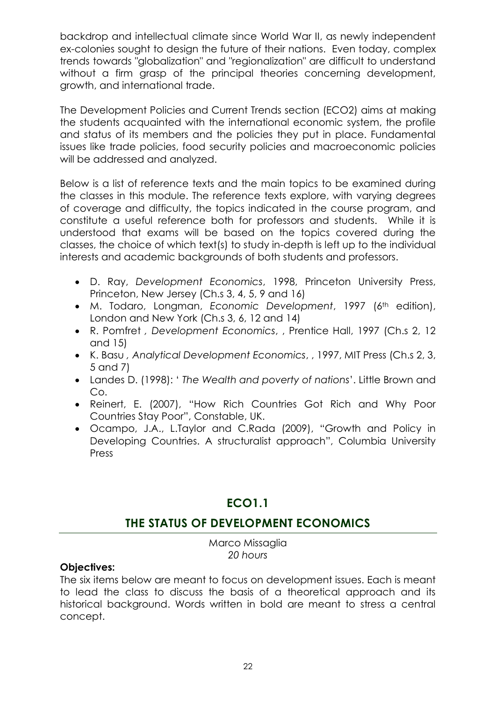backdrop and intellectual climate since World War II, as newly independent ex-colonies sought to design the future of their nations. Even today, complex trends towards "globalization" and "regionalization" are difficult to understand without a firm grasp of the principal theories concerning development, growth, and international trade.

The Development Policies and Current Trends section (ECO2) aims at making the students acquainted with the international economic system, the profile and status of its members and the policies they put in place. Fundamental issues like trade policies, food security policies and macroeconomic policies will be addressed and analyzed.

Below is a list of reference texts and the main topics to be examined during the classes in this module. The reference texts explore, with varying degrees of coverage and difficulty, the topics indicated in the course program, and constitute a useful reference both for professors and students. While it is understood that exams will be based on the topics covered during the classes, the choice of which text(s) to study in-depth is left up to the individual interests and academic backgrounds of both students and professors.

- D. Ray, *Development Economics*, 1998, Princeton University Press, Princeton, New Jersey (Ch.s 3, 4, 5, 9 and 16)
- $\bullet$  M. Todaro, Longman, *Economic Development*, 1997 (6<sup>th</sup> edition), London and New York (Ch.s 3, 6, 12 and 14)
- R. Pomfret *, Development Economics*, , Prentice Hall, 1997 (Ch.s 2, 12 and 15)
- K. Basu *, Analytical Development Economics*, , 1997, MIT Press (Ch.s 2, 3, 5 and 7)
- Landes D. (1998): ' *The Wealth and poverty of nations*'. Little Brown and Co.
- Reinert, E. (2007), "How Rich Countries Got Rich and Why Poor Countries Stay Poor", Constable, UK.
- Ocampo, J.A., L.Taylor and C.Rada (2009), "Growth and Policy in Developing Countries. A structuralist approach", Columbia University Press

## **ECO1.1**

## **THE STATUS OF DEVELOPMENT ECONOMICS**

Marco Missaglia *20 hours*

### **Objectives:**

The six items below are meant to focus on development issues. Each is meant to lead the class to discuss the basis of a theoretical approach and its historical background. Words written in bold are meant to stress a central concept.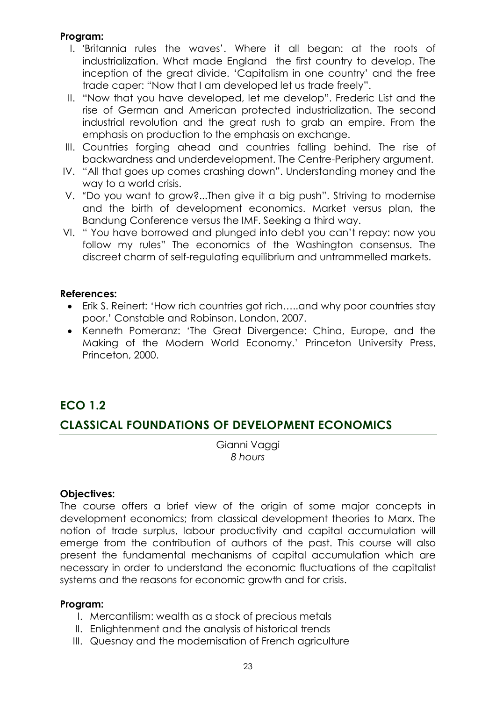### **Program:**

- I. 'Britannia rules the waves'. Where it all began: at the roots of industrialization. What made England the first country to develop. The inception of the great divide. 'Capitalism in one country' and the free trade caper: "Now that I am developed let us trade freely".
- II. "Now that you have developed, let me develop". Frederic List and the rise of German and American protected industrialization. The second industrial revolution and the great rush to grab an empire. From the emphasis on production to the emphasis on exchange.
- III. Countries forging ahead and countries falling behind. The rise of backwardness and underdevelopment. The Centre-Periphery argument.
- IV. "All that goes up comes crashing down". Understanding money and the way to a world crisis.
- V. "Do you want to grow?...Then give it a big push". Striving to modernise and the birth of development economics. Market versus plan, the Bandung Conference versus the IMF. Seeking a third way.
- VI. " You have borrowed and plunged into debt you can't repay: now you follow my rules" The economics of the Washington consensus. The discreet charm of self-regulating equilibrium and untrammelled markets.

### **References:**

- Erik S. Reinert: 'How rich countries got rich…..and why poor countries stay poor.' Constable and Robinson, London, 2007.
- Kenneth Pomeranz: 'The Great Divergence: China, Europe, and the Making of the Modern World Economy.' Princeton University Press, Princeton, 2000.

## **ECO 1.2**

## **CLASSICAL FOUNDATIONS OF DEVELOPMENT ECONOMICS**

Gianni Vaggi *8 hours*

### **Objectives:**

The course offers a brief view of the origin of some major concepts in development economics; from classical development theories to Marx. The notion of trade surplus, labour productivity and capital accumulation will emerge from the contribution of authors of the past. This course will also present the fundamental mechanisms of capital accumulation which are necessary in order to understand the economic fluctuations of the capitalist systems and the reasons for economic growth and for crisis.

### **Program:**

- I. Mercantilism: wealth as a stock of precious metals
- II. Enlightenment and the analysis of historical trends
- III. Quesnay and the modernisation of French agriculture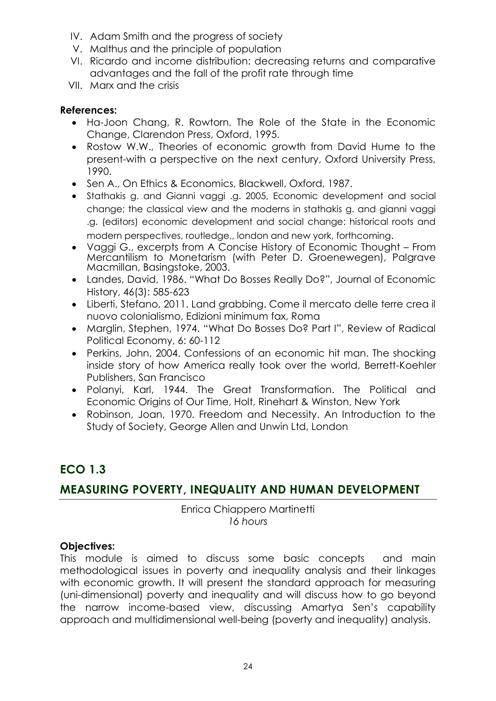- IV. Adam Smith and the progress of society
- V. Malthus and the principle of population
- VI. Ricardo and income distribution: decreasing returns and comparative advantages and the fall of the profit rate through time
- VII. Marx and the crisis

### **References:**

- Ha-Joon Chang, R. Rowtorn, The Role of the State in the Economic Change, Clarendon Press, Oxford, 1995.
- Rostow W.W., Theories of economic growth from David Hume to the present-with a perspective on the next century, Oxford University Press, 1990.
- Sen A., On Ethics & Economics, Blackwell, Oxford, 1987.
- Stathakis g. and Gianni vaggi .g. 2005, Economic development and social change; the classical view and the moderns in stathakis g. and gianni vaggi .g. (editors) economic development and social change: historical roots and modern perspectives, routledge,, london and new york, forthcoming.
- Vaggi G., excerpts from A Concise History of Economic Thought From Mercantilism to Monetarism (with Peter D. Groenewegen), Palgrave Macmillan, Basingstoke, 2003.
- Landes, David, 1986. "What Do Bosses Really Do?", Journal of Economic History, 46(3): 585-623
- Liberti, Stefano, 2011. Land grabbing. Come il mercato delle terre crea il nuovo colonialismo, Edizioni minimum fax, Roma
- Marglin, Stephen, 1974. "What Do Bosses Do? Part I", Review of Radical Political Economy, 6: 60-112
- Perkins, John, 2004. Confessions of an economic hit man. The shocking inside story of how America really took over the world, Berrett-Koehler Publishers, San Francisco
- Polanyi, Karl, 1944. The Great Transformation. The Political and Economic Origins of Our Time, Holt, Rinehart & Winston, New York
- Robinson, Joan, 1970. Freedom and Necessity. An Introduction to the Study of Society, George Allen and Unwin Ltd, London

# **ECO 1.3**

## **MEASURING POVERTY, INEQUALITY AND HUMAN DEVELOPMENT**

Enrica Chiappero Martinetti *16 hours*

### **Objectives:**

This module is aimed to discuss some basic concepts and main methodological issues in poverty and inequality analysis and their linkages with economic growth. It will present the standard approach for measuring (uni-dimensional) poverty and inequality and will discuss how to go beyond the narrow income-based view, discussing Amartya Sen's capability approach and multidimensional well-being (poverty and inequality) analysis.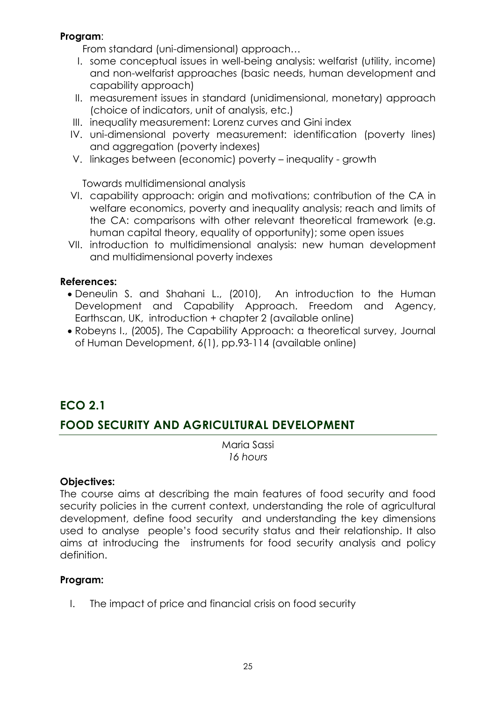### **Program**:

From standard (uni-dimensional) approach…

- I. some conceptual issues in well-being analysis: welfarist (utility, income) and non-welfarist approaches (basic needs, human development and capability approach)
- II. measurement issues in standard (unidimensional, monetary) approach (choice of indicators, unit of analysis, etc.)
- III. inequality measurement: Lorenz curves and Gini index
- IV. uni-dimensional poverty measurement: identification (poverty lines) and aggregation (poverty indexes)
- V. linkages between (economic) poverty inequality growth

Towards multidimensional analysis

- VI. capability approach: origin and motivations; contribution of the CA in welfare economics, poverty and inequality analysis; reach and limits of the CA: comparisons with other relevant theoretical framework (e.g. human capital theory, equality of opportunity); some open issues
- VII. introduction to multidimensional analysis: new human development and multidimensional poverty indexes

### **References:**

- Deneulin S. and Shahani L., (2010), An introduction to the Human Development and Capability Approach. Freedom and Agency, Earthscan, UK, introduction + chapter 2 (available online)
- Robeyns I., (2005), The Capability Approach: a theoretical survey, Journal of Human Development, 6(1), pp.93-114 (available online)

## **ECO 2.1**

## **FOOD SECURITY AND AGRICULTURAL DEVELOPMENT**

Maria Sassi *16 hours*

### **Objectives:**

The course aims at describing the main features of food security and food security policies in the current context, understanding the role of agricultural development, define food security and understanding the key dimensions used to analyse people's food security status and their relationship. It also aims at introducing the instruments for food security analysis and policy definition.

### **Program:**

I. The impact of price and financial crisis on food security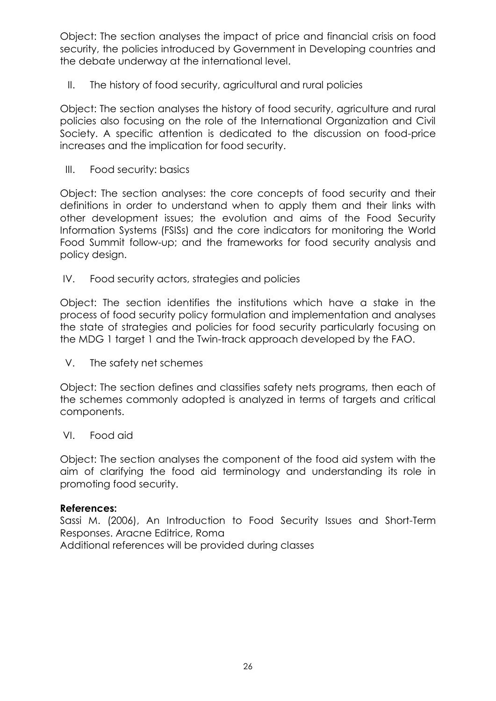Object: The section analyses the impact of price and financial crisis on food security, the policies introduced by Government in Developing countries and the debate underway at the international level.

II. The history of food security, agricultural and rural policies

Object: The section analyses the history of food security, agriculture and rural policies also focusing on the role of the International Organization and Civil Society. A specific attention is dedicated to the discussion on food-price increases and the implication for food security.

III. Food security: basics

Object: The section analyses: the core concepts of food security and their definitions in order to understand when to apply them and their links with other development issues; the evolution and aims of the Food Security Information Systems (FSISs) and the core indicators for monitoring the World Food Summit follow-up; and the frameworks for food security analysis and policy design.

IV. Food security actors, strategies and policies

Object: The section identifies the institutions which have a stake in the process of food security policy formulation and implementation and analyses the state of strategies and policies for food security particularly focusing on the MDG 1 target 1 and the Twin-track approach developed by the FAO.

V. The safety net schemes

Object: The section defines and classifies safety nets programs, then each of the schemes commonly adopted is analyzed in terms of targets and critical components.

VI. Food aid

Object: The section analyses the component of the food aid system with the aim of clarifying the food aid terminology and understanding its role in promoting food security.

#### **References:**

Sassi M. (2006), An Introduction to Food Security Issues and Short-Term Responses. Aracne Editrice, Roma

Additional references will be provided during classes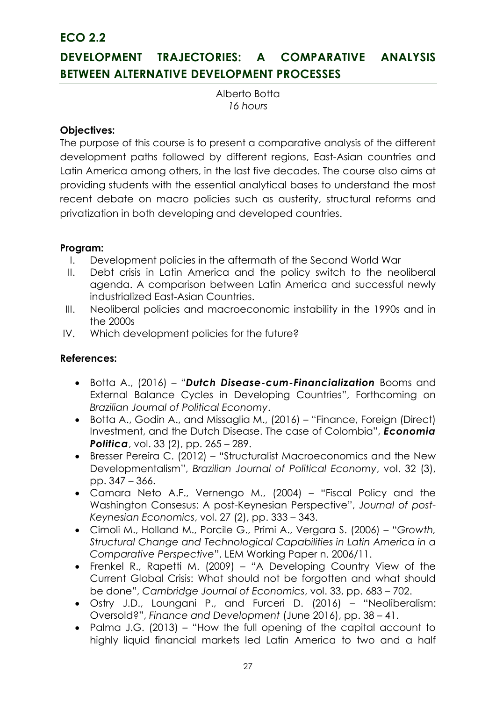**ECO 2.2** 

# **DEVELOPMENT TRAJECTORIES: A COMPARATIVE ANALYSIS BETWEEN ALTERNATIVE DEVELOPMENT PROCESSES**

Alberto Botta *16 hours*

### **Objectives:**

The purpose of this course is to present a comparative analysis of the different development paths followed by different regions, East-Asian countries and Latin America among others, in the last five decades. The course also aims at providing students with the essential analytical bases to understand the most recent debate on macro policies such as austerity, structural reforms and privatization in both developing and developed countries.

### **Program:**

- I. Development policies in the aftermath of the Second World War
- II. Debt crisis in Latin America and the policy switch to the neoliberal agenda. A comparison between Latin America and successful newly industrialized East-Asian Countries.
- III. Neoliberal policies and macroeconomic instability in the 1990s and in the 2000s
- IV. Which development policies for the future?

### **References:**

- Botta A., (2016) "*Dutch Disease-cum-Financialization* Booms and External Balance Cycles in Developing Countries", Forthcoming on *Brazilian Journal of Political Economy*.
- Botta A., Godin A., and Missaglia M., (2016) "Finance, Foreign (Direct) Investment, and the Dutch Disease. The case of Colombia", *Economia Politica*, vol. 33 (2), pp. 265 – 289.
- Bresser Pereira C. (2012) "Structuralist Macroeconomics and the New Developmentalism", *Brazilian Journal of Political Economy*, vol. 32 (3), pp. 347 – 366.
- Camara Neto A.F., Vernengo M., (2004) "Fiscal Policy and the Washington Consesus: A post-Keynesian Perspective", *Journal of post-Keynesian Economics*, vol. 27 (2), pp. 333 – 343.
- Cimoli M., Holland M., Porcile G., Primi A., Vergara S. (2006) "*Growth, Structural Change and Technological Capabilities in Latin America in a Comparative Perspective*", LEM Working Paper n. 2006/11.
- Frenkel R., Rapetti M. (2009) "A Developing Country View of the Current Global Crisis: What should not be forgotten and what should be done", *Cambridge Journal of Economics*, vol. 33, pp. 683 – 702.
- Ostry J.D., Loungani P., and Furceri D. (2016) "Neoliberalism: Oversold?", *Finance and Development* (June 2016), pp. 38 – 41.
- Palma J.G. (2013) "How the full opening of the capital account to highly liquid financial markets led Latin America to two and a half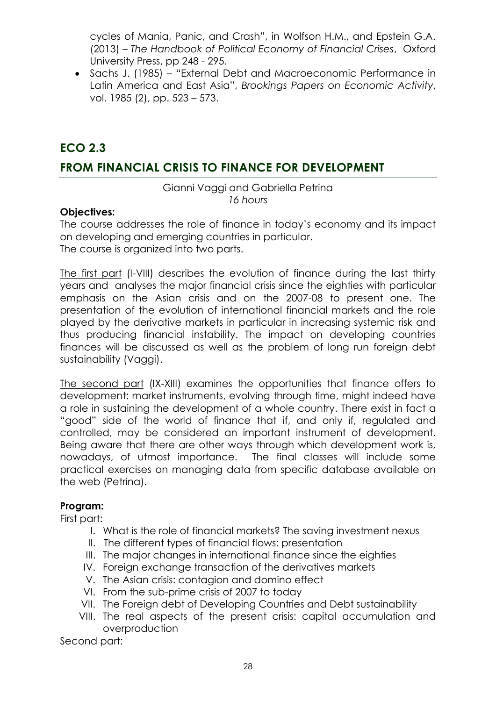cycles of Mania, Panic, and Crash", in Wolfson H.M., and Epstein G.A. (2013) – *The Handbook of Political Economy of Financial Crises*, Oxford University Press, pp 248 - 295.

 Sachs J. (1985) – "External Debt and Macroeconomic Performance in Latin America and East Asia", *Brookings Papers on Economic Activity*, vol. 1985 (2), pp. 523 – 573.

## **ECO 2.3**

### **FROM FINANCIAL CRISIS TO FINANCE FOR DEVELOPMENT**

### Gianni Vaggi and Gabriella Petrina *16 hours*

### **Objectives:**

The course addresses the role of finance in today's economy and its impact on developing and emerging countries in particular. The course is organized into two parts.

The first part (I-VIII) describes the evolution of finance during the last thirty years and analyses the major financial crisis since the eighties with particular emphasis on the Asian crisis and on the 2007-08 to present one. The presentation of the evolution of international financial markets and the role played by the derivative markets in particular in increasing systemic risk and thus producing financial instability. The impact on developing countries finances will be discussed as well as the problem of long run foreign debt sustainability (Vaggi).

The second part (IX-XIII) examines the opportunities that finance offers to development: market instruments, evolving through time, might indeed have a role in sustaining the development of a whole country. There exist in fact a "good" side of the world of finance that if, and only if, regulated and controlled, may be considered an important instrument of development. Being aware that there are other ways through which development work is, nowadays, of utmost importance. The final classes will include some practical exercises on managing data from specific database available on the web (Petrina).

### **Program:**

First part:

- I. What is the role of financial markets? The saving investment nexus
- II. The different types of financial flows: presentation
- III. The major changes in international finance since the eighties
- IV. Foreign exchange transaction of the derivatives markets
- V. The Asian crisis: contagion and domino effect
- VI. From the sub-prime crisis of 2007 to today
- VII. The Foreign debt of Developing Countries and Debt sustainability
- VIII. The real aspects of the present crisis: capital accumulation and overproduction

Second part: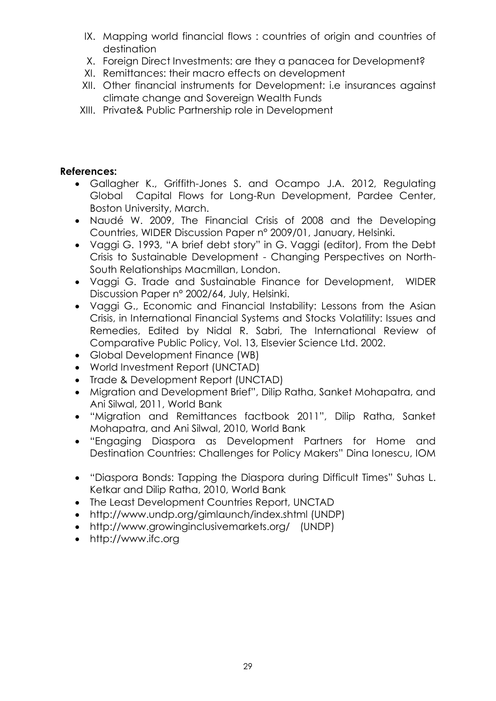- IX. Mapping world financial flows : countries of origin and countries of destination
- X. Foreign Direct Investments: are they a panacea for Development?
- XI. Remittances: their macro effects on development
- XII. Other financial instruments for Development: i.e insurances against climate change and Sovereign Wealth Funds
- XIII. Private& Public Partnership role in Development

### **References:**

- Gallagher K., Griffith-Jones S. and Ocampo J.A. 2012, Regulating Global Capital Flows for Long-Run Development, Pardee Center, Boston University, March.
- Naudé W. 2009, The Financial Crisis of 2008 and the Developing Countries, WIDER Discussion Paper n° 2009/01, January, Helsinki.
- Vaggi G. 1993, "A brief debt story" in G. Vaggi (editor), From the Debt Crisis to Sustainable Development - Changing Perspectives on North-South Relationships Macmillan, London.
- Vaggi G. Trade and Sustainable Finance for Development, WIDER Discussion Paper n° 2002/64, July, Helsinki.
- Vaggi G., Economic and Financial Instability: Lessons from the Asian Crisis, in International Financial Systems and Stocks Volatility: Issues and Remedies, Edited by Nidal R. Sabri, The International Review of Comparative Public Policy, Vol. 13, Elsevier Science Ltd. 2002.
- Global Development Finance (WB)
- World Investment Report (UNCTAD)
- Trade & Development Report (UNCTAD)
- Migration and Development Brief", Dilip Ratha, Sanket Mohapatra, and Ani Silwal, 2011, World Bank
- "Migration and Remittances factbook 2011", Dilip Ratha, Sanket Mohapatra, and Ani Silwal, 2010, World Bank
- "Engaging Diaspora as Development Partners for Home and Destination Countries: Challenges for Policy Makers" Dina Ionescu, IOM
- "Diaspora Bonds: Tapping the Diaspora during Difficult Times" Suhas L. Ketkar and Dilip Ratha, 2010, World Bank
- The Least Development Countries Report, UNCTAD
- http://www.undp.org/gimlaunch/index.shtml (UNDP)
- http://www.growinginclusivemarkets.org/ (UNDP)
- [http://www.ifc.org](http://www.ifc.org/)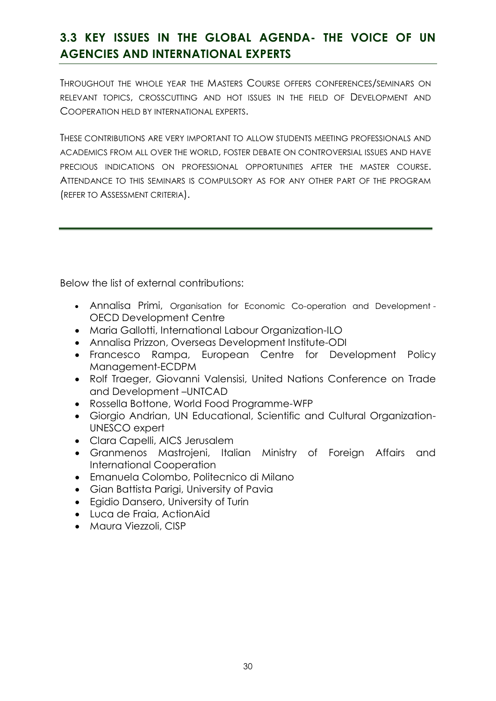# **3.3 KEY ISSUES IN THE GLOBAL AGENDA- THE VOICE OF UN AGENCIES AND INTERNATIONAL EXPERTS**

THROUGHOUT THE WHOLE YEAR THE MASTERS COURSE OFFERS CONFERENCES/SEMINARS ON RELEVANT TOPICS, CROSSCUTTING AND HOT ISSUES IN THE FIELD OF DEVELOPMENT AND COOPERATION HELD BY INTERNATIONAL EXPERTS.

THESE CONTRIBUTIONS ARE VERY IMPORTANT TO ALLOW STUDENTS MEETING PROFESSIONALS AND ACADEMICS FROM ALL OVER THE WORLD, FOSTER DEBATE ON CONTROVERSIAL ISSUES AND HAVE PRECIOUS INDICATIONS ON PROFESSIONAL OPPORTUNITIES AFTER THE MASTER COURSE. ATTENDANCE TO THIS SEMINARS IS COMPULSORY AS FOR ANY OTHER PART OF THE PROGRAM (REFER TO ASSESSMENT CRITERIA).

Below the list of external contributions:

- Annalisa Primi, Organisation for Economic Co-operation and Development OECD Development Centre
- Maria Gallotti, International Labour Organization-ILO
- Annalisa Prizzon, Overseas Development Institute-ODI
- Francesco Rampa, European Centre for Development Policy Management-ECDPM
- Rolf Traeger, Giovanni Valensisi, United Nations Conference on Trade and Development –UNTCAD
- Rossella Bottone, World Food Programme-WFP
- Giorgio Andrian, UN Educational, Scientific and Cultural Organization-UNESCO expert
- Clara Capelli, AICS Jerusalem
- Granmenos Mastrojeni, Italian Ministry of Foreign Affairs and International Cooperation
- Emanuela Colombo, Politecnico di Milano
- Gian Battista Parigi, University of Pavia
- Egidio Dansero, University of Turin
- Luca de Fraia, ActionAid
- Maura Viezzoli, CISP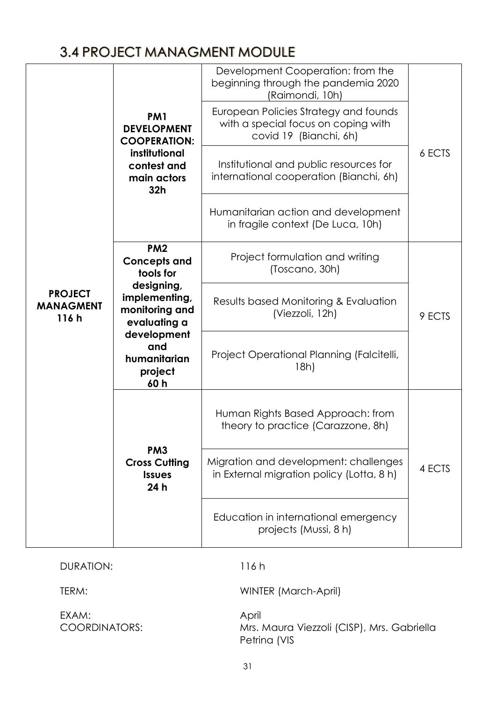# 3.4 PROJECT MANAGMENT MODULE

|                                    | PM <sub>1</sub><br><b>DEVELOPMENT</b><br><b>COOPERATION:</b><br>institutional<br>contest and<br>main actors<br>32 <sub>h</sub> | Development Cooperation: from the<br>beginning through the pandemia 2020<br>(Raimondi, 10h)<br>European Policies Strategy and founds<br>with a special focus on coping with<br>covid 19 (Bianchi, 6h)<br>Institutional and public resources for<br>international cooperation (Bianchi, 6h)<br>Humanitarian action and development<br>in fragile context (De Luca, 10h) | 6 ECTS |
|------------------------------------|--------------------------------------------------------------------------------------------------------------------------------|------------------------------------------------------------------------------------------------------------------------------------------------------------------------------------------------------------------------------------------------------------------------------------------------------------------------------------------------------------------------|--------|
| <b>PROJECT</b><br><b>MANAGMENT</b> | PM <sub>2</sub><br><b>Concepts and</b><br>tools for<br>designing,<br>implementing,                                             | Project formulation and writing<br>(Toscano, 30h)<br>Results based Monitoring & Evaluation                                                                                                                                                                                                                                                                             |        |
| 116h                               | monitoring and<br>evaluating a<br>development<br>and                                                                           | (Viezzoli, 12h)                                                                                                                                                                                                                                                                                                                                                        | 9 ECTS |
|                                    | humanitarian<br>project<br>60h                                                                                                 | Project Operational Planning (Falcitelli,<br>18h)                                                                                                                                                                                                                                                                                                                      |        |
|                                    |                                                                                                                                | Human Rights Based Approach: from<br>theory to practice (Carazzone, 8h)                                                                                                                                                                                                                                                                                                |        |
|                                    | PM <sub>3</sub><br><b>Cross Cutting</b><br><b>Issues</b><br>24 h                                                               | Migration and development: challenges<br>in External migration policy (Lotta, 8 h)                                                                                                                                                                                                                                                                                     | 4 ECTS |
|                                    |                                                                                                                                | Education in international emergency<br>projects (Mussi, 8 h)                                                                                                                                                                                                                                                                                                          |        |

DURATION: 116 h

EXAM: April<br>COORDINATORS: Mrs. *I* 

TERM: WINTER (March-April)

Mrs. Maura Viezzoli (CISP), Mrs. Gabriella Petrina (VIS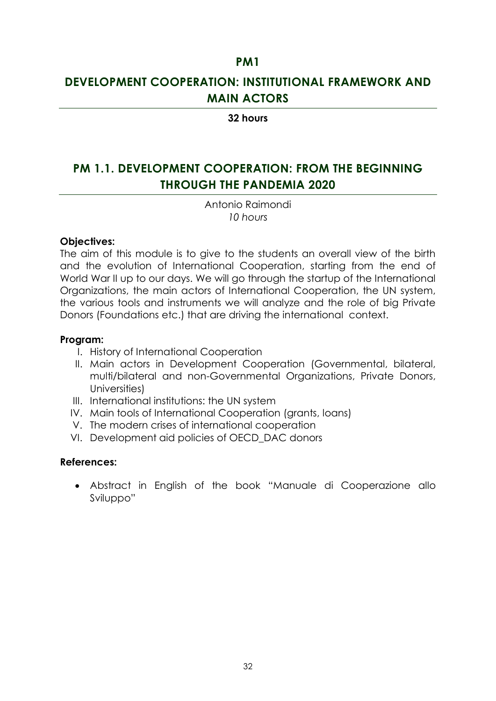### **PM1**

# **DEVELOPMENT COOPERATION: INSTITUTIONAL FRAMEWORK AND MAIN ACTORS**

#### **32 hours**

# **PM 1.1. DEVELOPMENT COOPERATION: FROM THE BEGINNING THROUGH THE PANDEMIA 2020**

Antonio Raimondi *10 hours*

#### **Objectives:**

The aim of this module is to give to the students an overall view of the birth and the evolution of International Cooperation, starting from the end of World War II up to our days. We will go through the startup of the International Organizations, the main actors of International Cooperation, the UN system, the various tools and instruments we will analyze and the role of big Private Donors (Foundations etc.) that are driving the international context.

#### **Program:**

- I. History of International Cooperation
- II. Main actors in Development Cooperation (Governmental, bilateral, multi/bilateral and non-Governmental Organizations, Private Donors, Universities)
- III. International institutions: the UN system
- IV. Main tools of International Cooperation (grants, loans)
- V. The modern crises of international cooperation
- VI. Development aid policies of OECD\_DAC donors

#### **References:**

 Abstract in English of the book "Manuale di Cooperazione allo Sviluppo"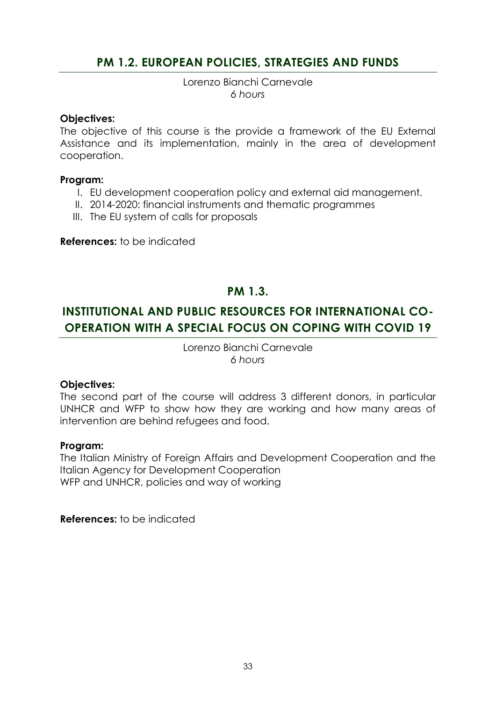### **PM 1.2. EUROPEAN POLICIES, STRATEGIES AND FUNDS**

Lorenzo Bianchi Carnevale *6 hours*

#### **Objectives:**

The objective of this course is the provide a framework of the EU External Assistance and its implementation, mainly in the area of development cooperation.

#### **Program:**

- I. EU development cooperation policy and external aid management.
- II. 2014-2020: financial instruments and thematic programmes
- III. The EU system of calls for proposals

**References:** to be indicated

### **PM 1.3.**

# **INSTITUTIONAL AND PUBLIC RESOURCES FOR INTERNATIONAL CO-OPERATION WITH A SPECIAL FOCUS ON COPING WITH COVID 19**

Lorenzo Bianchi Carnevale *6 hours*

#### **Objectives:**

The second part of the course will address 3 different donors, in particular UNHCR and WFP to show how they are working and how many areas of intervention are behind refugees and food.

#### **Program:**

The Italian Ministry of Foreign Affairs and Development Cooperation and the Italian Agency for Development Cooperation WFP and UNHCR, policies and way of working

**References:** to be indicated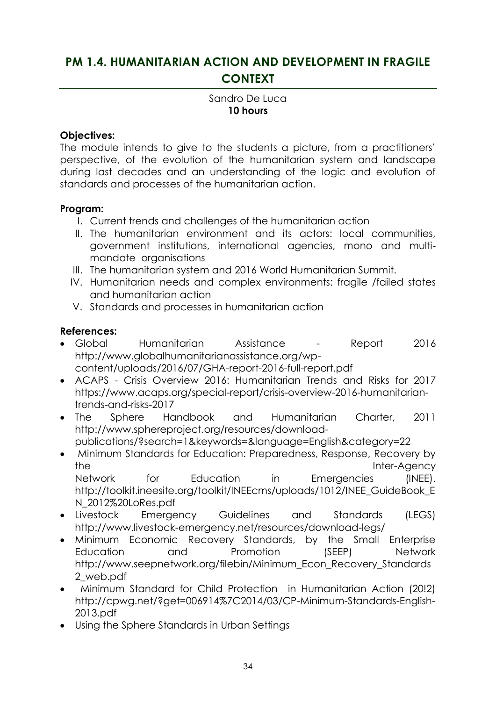# **PM 1.4. HUMANITARIAN ACTION AND DEVELOPMENT IN FRAGILE CONTEXT**

### Sandro De Luca **10 hours**

### **Objectives:**

The module intends to give to the students a picture, from a practitioners' perspective, of the evolution of the humanitarian system and landscape during last decades and an understanding of the logic and evolution of standards and processes of the humanitarian action.

### **Program:**

- I. Current trends and challenges of the humanitarian action
- II. The humanitarian environment and its actors: local communities, government institutions, international agencies, mono and multimandate organisations
- III. The humanitarian system and 2016 World Humanitarian Summit.
- IV. Humanitarian needs and complex environments: fragile /failed states and humanitarian action
- V. Standards and processes in humanitarian action

### **References:**

- Global Humanitarian Assistance Report 2016 [http://www.globalhumanitarianassistance.org/wp](http://www.globalhumanitarianassistance.org/wp-content/uploads/2016/07/GHA-report-2016-full-report.pdf)[content/uploads/2016/07/GHA-report-2016-full-report.pdf](http://www.globalhumanitarianassistance.org/wp-content/uploads/2016/07/GHA-report-2016-full-report.pdf)
- ACAPS Crisis Overview 2016: Humanitarian Trends and Risks for 2017 https://www.acaps.org/special-report/crisis-overview-2016-humanitariantrends-and-risks-2017
- The Sphere Handbook and Humanitarian Charter, 2011 http://www.sphereproject.org/resources/downloadpublications/?search=1&keywords=&language=English&category=22
- Minimum Standards for Education: Preparedness, Response, Recovery by the Inter-Agency Network for Education in Emergencies (INEE). http://toolkit.ineesite.org/toolkit/INEEcms/uploads/1012/INEE\_GuideBook\_E N\_2012%20LoRes.pdf
- Livestock Emergency Guidelines and Standards (LEGS) http://www.livestock-emergency.net/resources/download-legs/
- Minimum Economic Recovery Standards, by the Small Enterprise Education and Promotion (SEEP) Network http://www.seepnetwork.org/filebin/Minimum\_Econ\_Recovery\_Standards 2\_web.pdf
- Minimum Standard for Child Protection in Humanitarian Action (20!2) http://cpwg.net/?get=006914%7C2014/03/CP-Minimum-Standards-English-2013.pdf
- Using the Sphere Standards in Urban Settings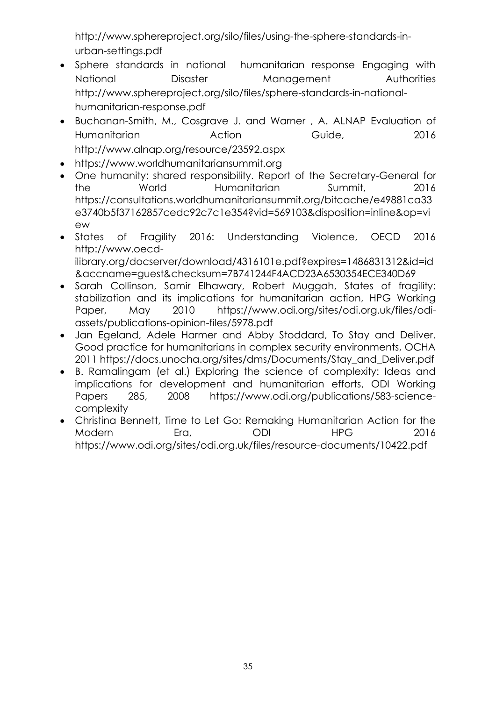[http://www.sphereproject.org/silo/files/using-the-sphere-standards-in](http://www.sphereproject.org/silo/files/using-the-sphere-standards-in-urban-settings.pdf)[urban-settings.pdf](http://www.sphereproject.org/silo/files/using-the-sphere-standards-in-urban-settings.pdf)

- Sphere standards in national humanitarian response Engaging with National Disaster Management Authorities [http://www.sphereproject.org/silo/files/sphere-standards-in-national](http://www.sphereproject.org/silo/files/sphere-standards-in-national-humanitarian-response.pdf)[humanitarian-response.pdf](http://www.sphereproject.org/silo/files/sphere-standards-in-national-humanitarian-response.pdf)
- Buchanan-Smith, M., Cosgrave J. and Warner , A. ALNAP Evaluation of Humanitarian Action Guide, 2016 <http://www.alnap.org/resource/23592.aspx>
- [https://www.worldhumanitariansummit.org](https://www.worldhumanitariansummit.org/)
- One humanity: shared responsibility. Report of the Secretary-General for the World Humanitarian Summit, 2016 [https://consultations.worldhumanitariansummit.org/bitcache/e49881ca33](https://consultations.worldhumanitariansummit.org/bitcache/e49881ca33e3740b5f37162857cedc92c7c1e354?vid=569103&disposition=inline&op=view) [e3740b5f37162857cedc92c7c1e354?vid=569103&disposition=inline&op=vi](https://consultations.worldhumanitariansummit.org/bitcache/e49881ca33e3740b5f37162857cedc92c7c1e354?vid=569103&disposition=inline&op=view) [ew](https://consultations.worldhumanitariansummit.org/bitcache/e49881ca33e3740b5f37162857cedc92c7c1e354?vid=569103&disposition=inline&op=view)
- States of Fragility 2016: Understanding Violence, OECD 2016 http://www.oecdilibrary.org/docserver/download/4316101e.pdf?expires=1486831312&id=id &accname=guest&checksum=7B741244F4ACD23A6530354ECE340D69
- Sarah Collinson, Samir Elhawary, Robert Muggah, States of fragility: stabilization and its implications for humanitarian action, HPG Working Paper, May 2010 https://www.odi.org/sites/odi.org.uk/files/odiassets/publications-opinion-files/5978.pdf
- Jan Egeland, Adele Harmer and Abby Stoddard, To Stay and Deliver. Good practice for humanitarians in complex security environments, OCHA 2011 [https://docs.unocha.org/sites/dms/Documents/Stay\\_and\\_Deliver.pdf](https://docs.unocha.org/sites/dms/Documents/Stay_and_Deliver.pdf)
- B. Ramalingam (et al.) Exploring the science of complexity: Ideas and implications for development and humanitarian efforts, ODI Working Papers 285, 2008 [https://www.odi.org/publications/583-science](https://www.odi.org/publications/583-science-complexity)[complexity](https://www.odi.org/publications/583-science-complexity)
- Christina Bennett, Time to Let Go: Remaking Humanitarian Action for the Modern Era, ODI HPG 2016 https://www.odi.org/sites/odi.org.uk/files/resource-documents/10422.pdf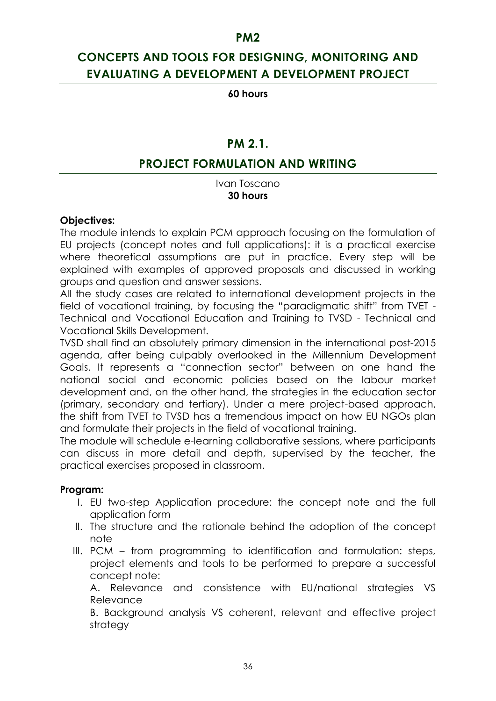## **CONCEPTS AND TOOLS FOR DESIGNING, MONITORING AND EVALUATING A DEVELOPMENT A DEVELOPMENT PROJECT**

**60 hours**

### **PM 2.1.**

### **PROJECT FORMULATION AND WRITING**

Ivan Toscano **30 hours**

#### **Objectives:**

The module intends to explain PCM approach focusing on the formulation of EU projects (concept notes and full applications): it is a practical exercise where theoretical assumptions are put in practice. Every step will be explained with examples of approved proposals and discussed in working groups and question and answer sessions.

All the study cases are related to international development projects in the field of vocational training, by focusing the "paradigmatic shift" from TVET - Technical and Vocational Education and Training to TVSD - Technical and Vocational Skills Development.

TVSD shall find an absolutely primary dimension in the international post-2015 agenda, after being culpably overlooked in the Millennium Development Goals. It represents a "connection sector" between on one hand the national social and economic policies based on the labour market development and, on the other hand, the strategies in the education sector (primary, secondary and tertiary). Under a mere project-based approach, the shift from TVET to TVSD has a tremendous impact on how EU NGOs plan and formulate their projects in the field of vocational training.

The module will schedule e-learning collaborative sessions, where participants can discuss in more detail and depth, supervised by the teacher, the practical exercises proposed in classroom.

### **Program:**

- I. EU two-step Application procedure: the concept note and the full application form
- II. The structure and the rationale behind the adoption of the concept note
- III. PCM from programming to identification and formulation: steps, project elements and tools to be performed to prepare a successful concept note:

A. Relevance and consistence with EU/national strategies VS Relevance

B. Background analysis VS coherent, relevant and effective project strategy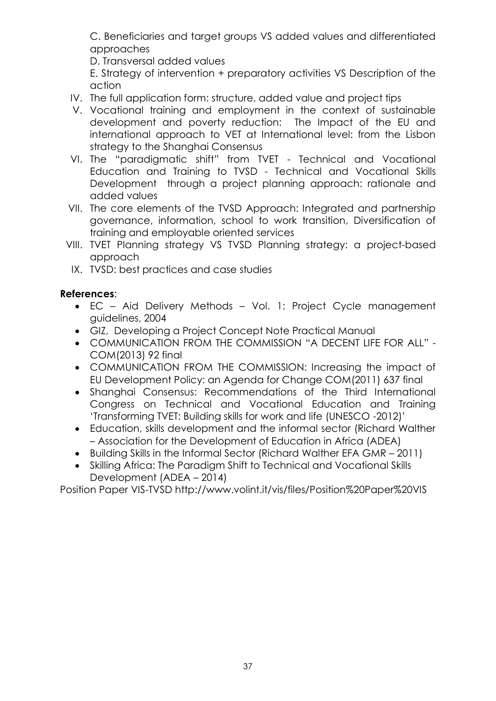C. Beneficiaries and target groups VS added values and differentiated approaches

D. Transversal added values

E. Strategy of intervention + preparatory activities VS Description of the action

- IV. The full application form: structure, added value and project tips
- V. Vocational training and employment in the context of sustainable development and poverty reduction: The Impact of the EU and international approach to VET at International level: from the Lisbon strategy to the Shanghai Consensus
- VI. The "paradigmatic shift" from TVET Technical and Vocational Education and Training to TVSD - Technical and Vocational Skills Development through a project planning approach: rationale and added values
- VII. The core elements of the TVSD Approach: Integrated and partnership governance, information, school to work transition, Diversification of training and employable oriented services
- VIII. TVET Planning strategy VS TVSD Planning strategy: a project-based approach
	- IX. TVSD: best practices and case studies

### **References**:

- EC Aid Delivery Methods Vol. 1: Project Cycle management guidelines, 2004
- GIZ, Developing a Project Concept Note Practical Manual
- COMMUNICATION FROM THE COMMISSION "A DECENT LIFE FOR ALL" COM(2013) 92 final
- COMMUNICATION FROM THE COMMISSION: Increasing the impact of EU Development Policy: an Agenda for Change COM(2011) 637 final
- Shanghai Consensus: Recommendations of the Third International Congress on Technical and Vocational Education and Training 'Transforming TVET: Building skills for work and life (UNESCO -2012)'
- Education, skills development and the informal sector (Richard Walther – Association for the Development of Education in Africa (ADEA)
- Building Skills in the Informal Sector (Richard Walther EFA GMR 2011)
- Skilling Africa: The Paradigm Shift to Technical and Vocational Skills Development (ADEA – 2014)

Position Paper VIS-TVSD http://www.volint.it/vis/files/Position%20Paper%20VIS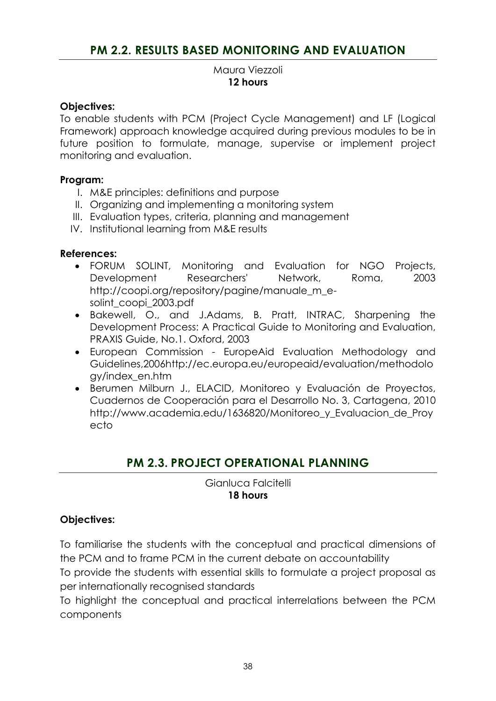### **PM 2.2. RESULTS BASED MONITORING AND EVALUATION**

#### Maura Viezzoli **12 hours**

#### **Objectives:**

To enable students with PCM (Project Cycle Management) and LF (Logical Framework) approach knowledge acquired during previous modules to be in future position to formulate, manage, supervise or implement project monitoring and evaluation.

#### **Program:**

- I. M&E principles: definitions and purpose
- II. Organizing and implementing a monitoring system
- III. Evaluation types, criteria, planning and management
- IV. Institutional learning from M&E results

#### **References:**

- FORUM SOLINT, Monitoring and Evaluation for NGO Projects, Development Researchers' Network, Roma, 2003 http://coopi.org/repository/pagine/manuale\_m\_esolint\_coopi\_2003.pdf
- Bakewell, O., and J.Adams, B. Pratt, INTRAC, Sharpening the Development Process: A Practical Guide to Monitoring and Evaluation, PRAXIS Guide, No.1. Oxford, 2003
- European Commission EuropeAid Evaluation Methodology and Guidelines,2006http://ec.europa.eu/europeaid/evaluation/methodolo gy/index\_en.htm
- Berumen Milburn J., ELACID, Monitoreo y Evaluación de Proyectos, Cuadernos de Cooperación para el Desarrollo No. 3, Cartagena, 2010 http://www.academia.edu/1636820/Monitoreo\_y\_Evaluacion\_de\_Proy ecto

## **PM 2.3. PROJECT OPERATIONAL PLANNING**

Gianluca Falcitelli **18 hours**

#### **Objectives:**

To familiarise the students with the conceptual and practical dimensions of the PCM and to frame PCM in the current debate on accountability

To provide the students with essential skills to formulate a project proposal as per internationally recognised standards

To highlight the conceptual and practical interrelations between the PCM components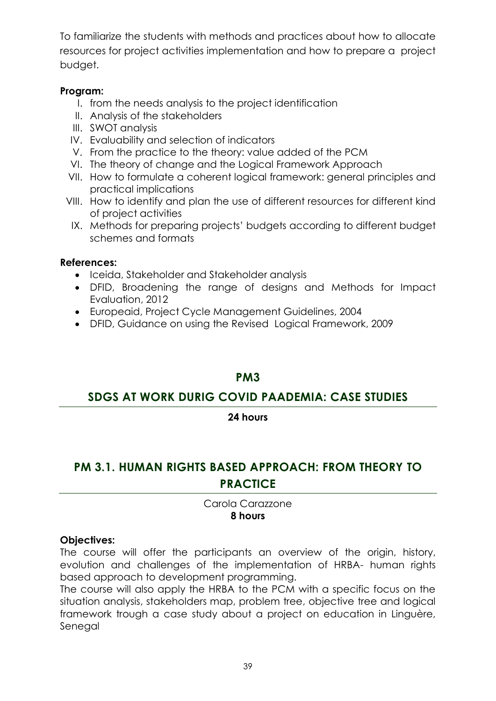To familiarize the students with methods and practices about how to allocate resources for project activities implementation and how to prepare a project budget.

### **Program:**

- I. from the needs analysis to the project identification
- II. Analysis of the stakeholders
- III. SWOT analysis
- IV. Evaluability and selection of indicators
- V. From the practice to the theory: value added of the PCM
- VI. The theory of change and the Logical Framework Approach
- VII. How to formulate a coherent logical framework: general principles and practical implications
- VIII. How to identify and plan the use of different resources for different kind of project activities
- IX. Methods for preparing projects' budgets according to different budget schemes and formats

### **References:**

- Iceida, Stakeholder and Stakeholder analysis
- DFID, Broadening the range of designs and Methods for Impact Evaluation, 2012
- Europeaid, Project Cycle Management Guidelines, 2004
- DFID, Guidance on using the Revised Logical Framework, 2009

### **PM3**

### **SDGS AT WORK DURIG COVID PAADEMIA: CASE STUDIES**

### **24 hours**

# **PM 3.1. HUMAN RIGHTS BASED APPROACH: FROM THEORY TO PRACTICE**

Carola Carazzone **8 hours**

### **Objectives:**

The course will offer the participants an overview of the origin, history, evolution and challenges of the implementation of HRBA- human rights based approach to development programming.

The course will also apply the HRBA to the PCM with a specific focus on the situation analysis, stakeholders map, problem tree, objective tree and logical framework trough a case study about a project on education in Linguère, Senegal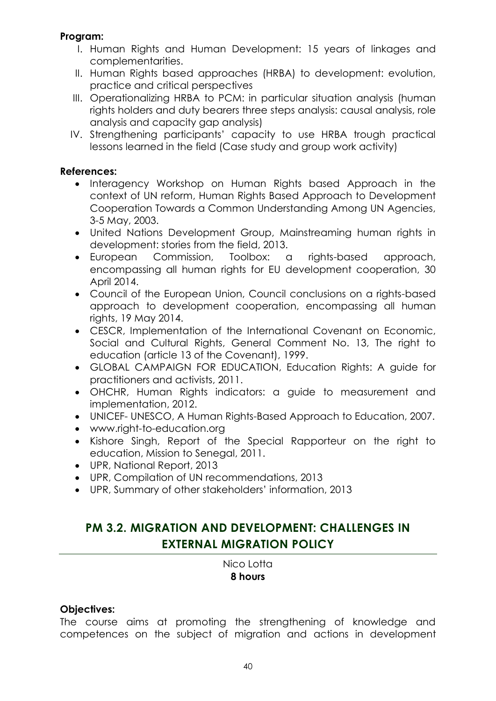### **Program:**

- I. Human Rights and Human Development: 15 years of linkages and complementarities.
- II. Human Rights based approaches (HRBA) to development: evolution, practice and critical perspectives
- III. Operationalizing HRBA to PCM: in particular situation analysis (human rights holders and duty bearers three steps analysis: causal analysis, role analysis and capacity gap analysis)
- IV. Strengthening participants' capacity to use HRBA trough practical lessons learned in the field (Case study and group work activity)

### **References:**

- Interagency Workshop on Human Rights based Approach in the context of UN reform, Human Rights Based Approach to Development Cooperation Towards a Common Understanding Among UN Agencies, 3-5 May, 2003.
- United Nations Development Group, Mainstreaming human rights in development: stories from the field, 2013.
- European Commission, Toolbox: a rights-based approach, encompassing all human rights for EU development cooperation, 30 April 2014.
- Council of the European Union, Council conclusions on a rights-based approach to development cooperation, encompassing all human rights, 19 May 2014.
- CESCR, Implementation of the International Covenant on Economic, Social and Cultural Rights, General Comment No. 13, The right to education (article 13 of the Covenant), 1999.
- GLOBAL CAMPAIGN FOR EDUCATION, Education Rights: A guide for practitioners and activists, 2011.
- OHCHR, Human Rights indicators: a guide to measurement and implementation, 2012.
- UNICEF- UNESCO, A Human Rights-Based Approach to Education, 2007.
- [www.right-to-education.org](http://www.right-to-education.org/)
- Kishore Singh, Report of the Special Rapporteur on the right to education, Mission to Senegal, 2011.
- UPR, National Report, 2013
- UPR, Compilation of UN recommendations, 2013
- UPR, Summary of other stakeholders' information, 2013

# **PM 3.2. MIGRATION AND DEVELOPMENT: CHALLENGES IN EXTERNAL MIGRATION POLICY**

Nico Lotta **8 hours**

### **Objectives:**

The course aims at promoting the strengthening of knowledge and competences on the subject of migration and actions in development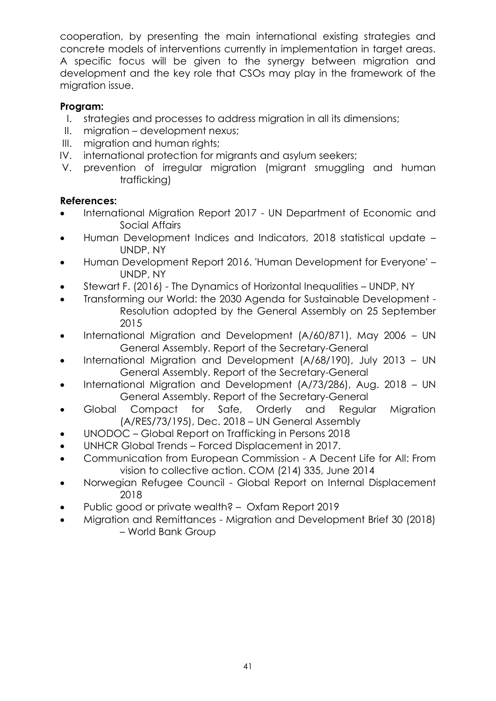cooperation, by presenting the main international existing strategies and concrete models of interventions currently in implementation in target areas. A specific focus will be given to the synergy between migration and development and the key role that CSOs may play in the framework of the migration issue.

### **Program:**

- I. strategies and processes to address migration in all its dimensions;
- II. migration development nexus;
- III. migration and human rights;
- IV. international protection for migrants and asylum seekers;
- V. prevention of irregular migration (migrant smuggling and human trafficking)

### **References:**

- International Migration Report 2017 UN Department of Economic and Social Affairs
- Human Development Indices and Indicators, 2018 statistical update UNDP, NY
- Human Development Report 2016. 'Human Development for Everyone' UNDP, NY
- Stewart F. (2016) The Dynamics of Horizontal Inequalities UNDP, NY
- Transforming our World: the 2030 Agenda for Sustainable Development Resolution adopted by the General Assembly on 25 September 2015
- International Migration and Development (A/60/871), May 2006 UN General Assembly. Report of the Secretary-General
- International Migration and Development (A/68/190), July 2013 UN General Assembly. Report of the Secretary-General
- International Migration and Development (A/73/286), Aug. 2018 UN General Assembly. Report of the Secretary-General
- Global Compact for Safe, Orderly and Regular Migration (A/RES/73/195), Dec. 2018 – UN General Assembly
- UNODOC Global Report on Trafficking in Persons 2018
- UNHCR Global Trends Forced Displacement in 2017.
- Communication from European Commission A Decent Life for All: From vision to collective action. COM (214) 335, June 2014
- Norwegian Refugee Council Global Report on Internal Displacement 2018
- Public good or private wealth? Oxfam Report 2019
- Migration and Remittances Migration and Development Brief 30 (2018) – World Bank Group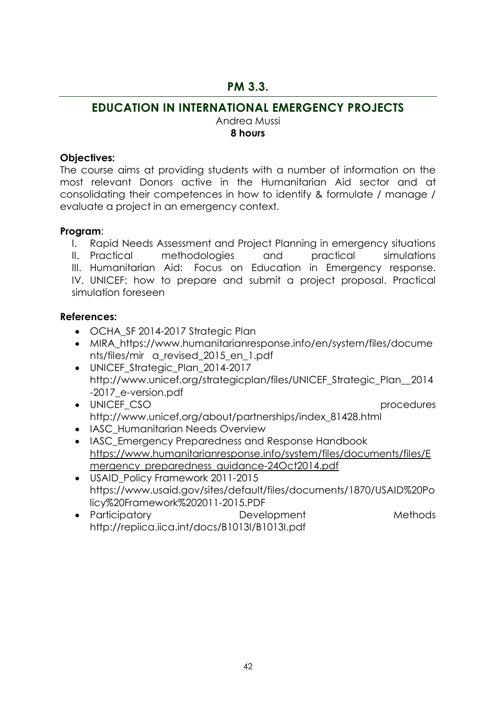### **PM 3.3.**

## **EDUCATION IN INTERNATIONAL EMERGENCY PROJECTS**

Andrea Mussi **8 hours**

### **Objectives:**

The course aims at providing students with a number of information on the most relevant Donors active in the Humanitarian Aid sector and at consolidating their competences in how to identify & formulate / manage / evaluate a project in an emergency context.

### **Program**:

- I. Rapid Needs Assessment and Project Planning in emergency situations
- II. Practical methodologies and practical simulations
- III. Humanitarian Aid: Focus on Education in Emergency response. IV. UNICEF: how to prepare and submit a project proposal. Practical simulation foreseen

### **References:**

- OCHA SF 2014-2017 Strategic Plan
- MIRA\_https://www.humanitarianresponse.info/en/system/files/docume nts/files/mir a\_revised\_2015\_en\_1.pdf
- UNICEF\_Strategic\_Plan\_2014-2017 http://www.unicef.org/strategicplan/files/UNICEF\_Strategic\_Plan\_\_2014 -2017\_e-version.pdf
- UNICEF CSO procedures http://www.unicef.org/about/partnerships/index\_81428.html
- IASC Humanitarian Needs Overview
- IASC Emergency Preparedness and Response Handbook [https://www.humanitarianresponse.info/system/files/documents/files/E](https://www.humanitarianresponse.info/system/files/documents/files/Emergency_preparedness_guidance-24Oct2014.pdf) [mergency\\_preparedness\\_guidance-24Oct2014.pdf](https://www.humanitarianresponse.info/system/files/documents/files/Emergency_preparedness_guidance-24Oct2014.pdf)
- USAID Policy Framework 2011-2015 https://www.usaid.gov/sites/default/files/documents/1870/USAID%20Po licy%20Framework%202011-2015.PDF
- Participatory **Development** Methods http://repiica.iica.int/docs/B1013I/B1013I.pdf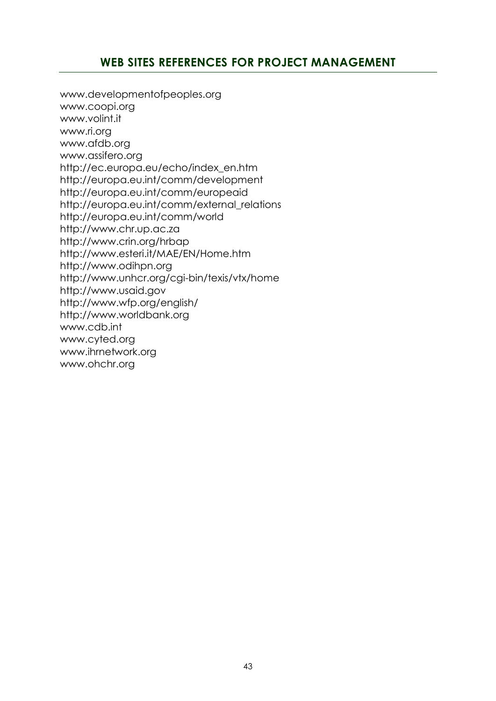### **WEB SITES REFERENCES FOR PROJECT MANAGEMENT**

[www.developmentofpeoples.org](http://www.developmentofpeoples.org/) [www.coopi.org](http://www.coopi.org/) [www.volint.it](http://www.volint.it/) [www.ri.org](http://www.ri.org/) [www.afdb.org](http://www.afdb.org/) www.assifero.org http://ec.europa.eu/echo/index\_en.htm http://europa.eu.int/comm/development http://europa.eu.int/comm/europeaid http://europa.eu.int/comm/external\_relations http://europa.eu.int/comm/world http://www.chr.up.ac.za http://www.crin.org/hrbap http://www.esteri.it/MAE/EN/Home.htm [http://www.odihpn.org](http://www.odihpn.org/) http://www.unhcr.org/cgi-bin/texis/vtx/home http://www.usaid.gov http://www.wfp.org/english/ http://www.worldbank.org www.cdb.int www.cyted.org [www.ihrnetwork.org](file:///C:/Users/studenti/Documents%20and%20Settings/Dati%20applicazioni/Microsoft/Word/www.ihrnetwork.org) [www.ohchr.org](http://www.ohchr.org/)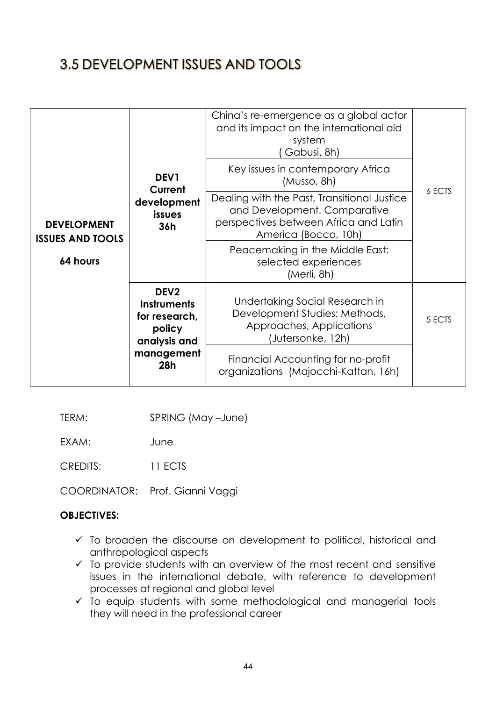# 3.5 DEVELOPMENT ISSUES AND TOOLS

|                                               |                                                                                   | China's re-emergence as a global actor<br>and its impact on the international aid<br>system<br>Gabusi, 8h)                                   |        |
|-----------------------------------------------|-----------------------------------------------------------------------------------|----------------------------------------------------------------------------------------------------------------------------------------------|--------|
|                                               | DEV1<br>Current                                                                   | Key issues in contemporary Africa<br>(Musso, 8h)                                                                                             |        |
| <b>DEVELOPMENT</b><br><b>ISSUES AND TOOLS</b> | development<br>issues<br>36h                                                      | Dealing with the Past, Transitional Justice<br>and Development. Comparative<br>perspectives between Africa and Latin<br>America (Bocco, 10h) | 6 ECTS |
| 64 hours                                      |                                                                                   | Peacemaking in the Middle East:<br>selected experiences<br>(Merli, 8h)                                                                       |        |
|                                               | DEV <sub>2</sub><br><b>Instruments</b><br>for research,<br>policy<br>analysis and | Undertaking Social Research in<br>Development Studies: Methods,<br>Approaches, Applications<br>(Jutersonke, 12h)                             | 5 ECTS |
|                                               | management<br>28h                                                                 | Financial Accounting for no-profit<br>organizations (Majocchi-Kattan, 16h)                                                                   |        |

TERM: SPRING (May –June)

EXAM: June

CREDITS: 11 ECTS

COORDINATOR: Prof. Gianni Vaggi

#### **OBJECTIVES:**

- $\checkmark$  To broaden the discourse on development to political, historical and anthropological aspects
- $\checkmark$  To provide students with an overview of the most recent and sensitive issues in the international debate, with reference to development processes at regional and global level
- $\checkmark$  To equip students with some methodological and managerial tools they will need in the professional career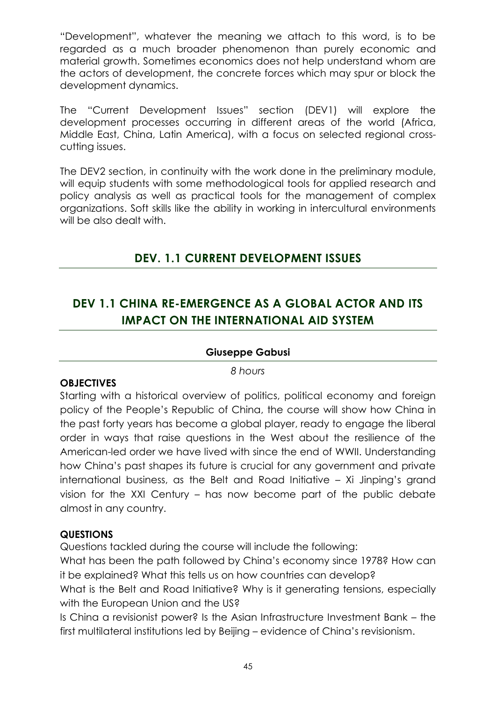"Development", whatever the meaning we attach to this word, is to be regarded as a much broader phenomenon than purely economic and material growth. Sometimes economics does not help understand whom are the actors of development, the concrete forces which may spur or block the development dynamics.

The "Current Development Issues" section (DEV1) will explore the development processes occurring in different areas of the world (Africa, Middle East, China, Latin America), with a focus on selected regional crosscutting issues.

The DEV2 section, in continuity with the work done in the preliminary module, will equip students with some methodological tools for applied research and policy analysis as well as practical tools for the management of complex organizations. Soft skills like the ability in working in intercultural environments will be also dealt with.

## **DEV. 1.1 CURRENT DEVELOPMENT ISSUES**

# **DEV 1.1 CHINA RE-EMERGENCE AS A GLOBAL ACTOR AND ITS IMPACT ON THE INTERNATIONAL AID SYSTEM**

### **Giuseppe Gabusi**

*8 hours*

#### **OBJECTIVES**

Starting with a historical overview of politics, political economy and foreign policy of the People's Republic of China, the course will show how China in the past forty years has become a global player, ready to engage the liberal order in ways that raise questions in the West about the resilience of the American-led order we have lived with since the end of WWII. Understanding how China's past shapes its future is crucial for any government and private international business, as the Belt and Road Initiative – Xi Jinping's grand vision for the XXI Century – has now become part of the public debate almost in any country.

### **QUESTIONS**

Questions tackled during the course will include the following:

What has been the path followed by China's economy since 1978? How can it be explained? What this tells us on how countries can develop?

What is the Belt and Road Initiative? Why is it generating tensions, especially with the European Union and the US?

Is China a revisionist power? Is the Asian Infrastructure Investment Bank – the first multilateral institutions led by Beijing – evidence of China's revisionism.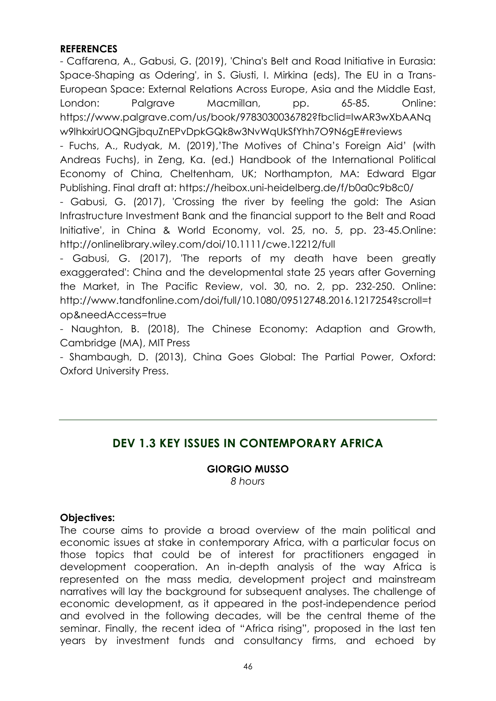### **REFERENCES**

- Caffarena, A., Gabusi, G. (2019), 'China's Belt and Road Initiative in Eurasia: Space-Shaping as Odering', in S. Giusti, I. Mirkina (eds), The EU in a Trans-European Space: External Relations Across Europe, Asia and the Middle East, London: Palgrave Macmillan, pp. 65-85. Online: https://www.palgrave.com/us/book/9783030036782?fbclid=IwAR3wXbAANq w9lhkxirUOQNGjbquZnEPvDpkGQk8w3NvWqUkSfYhh7O9N6gE#reviews

- Fuchs, A., Rudyak, M. (2019),'The Motives of China's Foreign Aid' (with Andreas Fuchs), in Zeng, Ka. (ed.) Handbook of the International Political Economy of China, Cheltenham, UK; Northampton, MA: Edward Elgar Publishing. Final draft at: https://heibox.uni-heidelberg.de/f/b0a0c9b8c0/

- Gabusi, G. (2017), 'Crossing the river by feeling the gold: The Asian Infrastructure Investment Bank and the financial support to the Belt and Road Initiative', in China & World Economy, vol. 25, no. 5, pp. 23-45.Online: http://onlinelibrary.wiley.com/doi/10.1111/cwe.12212/full

- Gabusi, G. (2017), 'The reports of my death have been greatly exaggerated': China and the developmental state 25 years after Governing the Market, in The Pacific Review, vol. 30, no. 2, pp. 232-250. Online: http://www.tandfonline.com/doi/full/10.1080/09512748.2016.1217254?scroll=t op&needAccess=true

- Naughton, B. (2018), The Chinese Economy: Adaption and Growth, Cambridge (MA), MIT Press

- Shambaugh, D. (2013), China Goes Global: The Partial Power, Oxford: Oxford University Press.

## **DEV 1.3 KEY ISSUES IN CONTEMPORARY AFRICA**

**GIORGIO MUSSO** *8 hours*

### **Objectives:**

The course aims to provide a broad overview of the main political and economic issues at stake in contemporary Africa, with a particular focus on those topics that could be of interest for practitioners engaged in development cooperation. An in-depth analysis of the way Africa is represented on the mass media, development project and mainstream narratives will lay the background for subsequent analyses. The challenge of economic development, as it appeared in the post-independence period and evolved in the following decades, will be the central theme of the seminar. Finally, the recent idea of "Africa rising", proposed in the last ten years by investment funds and consultancy firms, and echoed by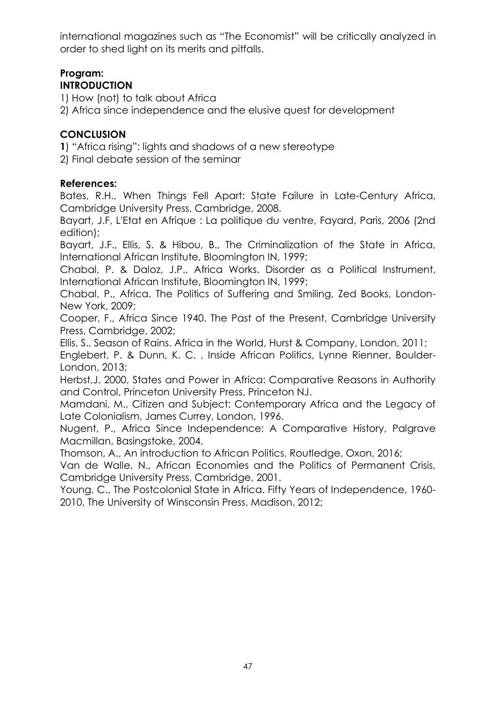international magazines such as "The Economist" will be critically analyzed in order to shed light on its merits and pitfalls.

# **Program:**

### **INTRODUCTION**

1) How (not) to talk about Africa

2) Africa since independence and the elusive quest for development

### **CONCLUSION**

**1**) "Africa rising": lights and shadows of a new stereotype

2) Final debate session of the seminar

### **References:**

Bates, R.H., When Things Fell Apart: State Failure in Late-Century Africa, Cambridge University Press, Cambridge, 2008.

Bayart, J.F, L'Etat en Afrique : La politique du ventre, Fayard, Paris, 2006 (2nd edition);

Bayart, J.F., Ellis, S. & Hibou, B., The Criminalization of the State in Africa, International African Institute, Bloomington IN, 1999;

Chabal, P. & Daloz, J.P., Africa Works. Disorder as a Political Instrument, International African Institute, Bloomington IN, 1999;

Chabal, P., Africa. The Politics of Suffering and Smiling, Zed Books, London-New York, 2009;

Cooper, F., Africa Since 1940. The Past of the Present, Cambridge University Press, Cambridge, 2002;

Ellis, S., Season of Rains. Africa in the World, Hurst & Company, London, 2011;

Englebert, P. & Dunn, K. C. , Inside African Politics, Lynne Rienner, Boulder-London, 2013;

Herbst,J. 2000, States and Power in Africa: Comparative Reasons in Authority and Control, Princeton University Press, Princeton NJ.

Mamdani, M., Citizen and Subject: Contemporary Africa and the Legacy of Late Colonialism, James Currey, London, 1996.

Nugent, P., Africa Since Independence: A Comparative History, Palgrave Macmillan, Basingstoke, 2004.

Thomson, A., An introduction to African Politics, Routledge, Oxon, 2016;

Van de Walle, N., African Economies and the Politics of Permanent Crisis, Cambridge University Press, Cambridge, 2001.

Young, C., The Postcolonial State in Africa. Fifty Years of Independence, 1960- 2010, The University of Winsconsin Press, Madison, 2012;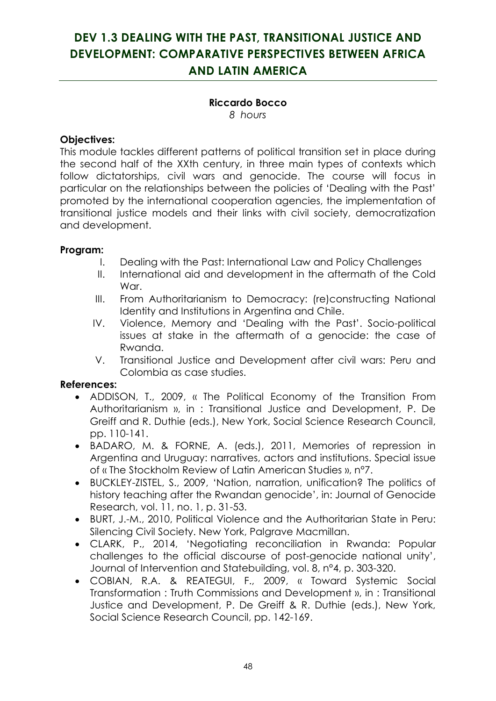# **DEV 1.3 DEALING WITH THE PAST, TRANSITIONAL JUSTICE AND DEVELOPMENT: COMPARATIVE PERSPECTIVES BETWEEN AFRICA AND LATIN AMERICA**

## **Riccardo Bocco**

*8 hours*

### **Objectives:**

This module tackles different patterns of political transition set in place during the second half of the XXth century, in three main types of contexts which follow dictatorships, civil wars and genocide. The course will focus in particular on the relationships between the policies of 'Dealing with the Past' promoted by the international cooperation agencies, the implementation of transitional justice models and their links with civil society, democratization and development.

### **Program:**

- I. Dealing with the Past: International Law and Policy Challenges
- II. International aid and development in the aftermath of the Cold War.
- III. From Authoritarianism to Democracy: (re)constructing National Identity and Institutions in Argentina and Chile.
- IV. Violence, Memory and 'Dealing with the Past'. Socio-political issues at stake in the aftermath of a genocide: the case of Rwanda.
- V. Transitional Justice and Development after civil wars: Peru and Colombia as case studies.

### **References:**

- ADDISON, T., 2009, « The Political Economy of the Transition From Authoritarianism », in : Transitional Justice and Development, P. De Greiff and R. Duthie (eds.), New York, Social Science Research Council, pp. 110-141.
- BADARO, M. & FORNE, A. (eds.), 2011, Memories of repression in Argentina and Uruguay: narratives, actors and institutions. Special issue of « The Stockholm Review of Latin American Studies », n°7.
- BUCKLEY-ZISTEL, S., 2009, 'Nation, narration, unification? The politics of history teaching after the Rwandan genocide', in: Journal of Genocide Research, vol. 11, no. 1, p. 31-53.
- BURT, J.-M., 2010, Political Violence and the Authoritarian State in Peru: Silencing Civil Society. New York, Palgrave Macmillan.
- CLARK, P., 2014, 'Negotiating reconciliation in Rwanda: Popular challenges to the official discourse of post-genocide national unity', Journal of Intervention and Statebuilding, vol. 8, n°4, p. 303-320.
- COBIAN, R.A. & REATEGUI, F., 2009, « Toward Systemic Social Transformation : Truth Commissions and Development », in : Transitional Justice and Development, P. De Greiff & R. Duthie (eds.), New York, Social Science Research Council, pp. 142-169.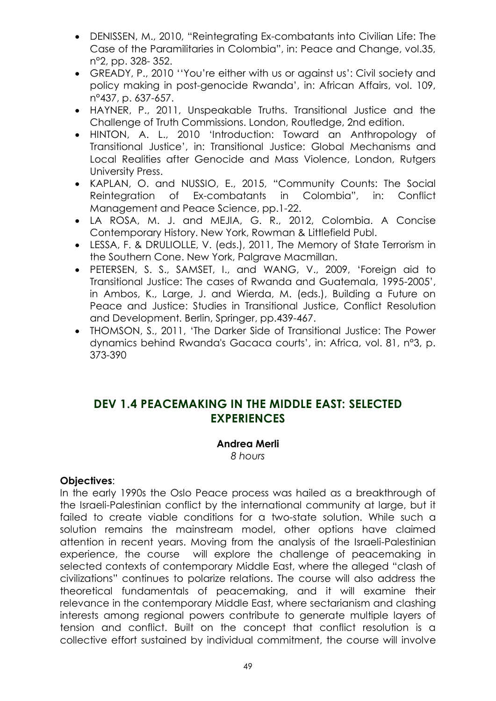- DENISSEN, M., 2010, "Reintegrating Ex-combatants into Civilian Life: The Case of the Paramilitaries in Colombia", in: Peace and Change, vol.35, n°2, pp. 328- 352.
- GREADY, P., 2010 ''You're either with us or against us': Civil society and policy making in post-genocide Rwanda', in: African Affairs, vol. 109, n°437, p. 637-657.
- HAYNER, P., 2011, Unspeakable Truths. Transitional Justice and the Challenge of Truth Commissions. London, Routledge, 2nd edition.
- HINTON, A. L., 2010 'Introduction: Toward an Anthropology of Transitional Justice', in: Transitional Justice: Global Mechanisms and Local Realities after Genocide and Mass Violence, London, Rutgers University Press.
- KAPLAN, O. and NUSSIO, E., 2015, "Community Counts: The Social Reintegration of Ex-combatants in Colombia", in: Conflict Management and Peace Science, pp.1-22.
- LA ROSA, M. J. and MEJIA, G. R., 2012, Colombia. A Concise Contemporary History. New York, Rowman & Littlefield Publ.
- LESSA, F. & DRULIOLLE, V. (eds.), 2011, The Memory of State Terrorism in the Southern Cone. New York, Palgrave Macmillan.
- PETERSEN, S. S., SAMSET, I., and WANG, V., 2009, 'Foreign aid to Transitional Justice: The cases of Rwanda and Guatemala, 1995-2005', in Ambos, K., Large, J. and Wierda, M. (eds.), Building a Future on Peace and Justice: Studies in Transitional Justice, Conflict Resolution and Development. Berlin, Springer, pp.439-467.
- THOMSON, S., 2011, 'The Darker Side of Transitional Justice: The Power dynamics behind Rwanda's Gacaca courts', in: Africa, vol. 81, n°3, p. 373-390

### **DEV 1.4 PEACEMAKING IN THE MIDDLE EAST: SELECTED EXPERIENCES**

#### **Andrea Merli**

*8 hours*

### **Objectives**:

In the early 1990s the Oslo Peace process was hailed as a breakthrough of the Israeli-Palestinian conflict by the international community at large, but it failed to create viable conditions for a two-state solution. While such a solution remains the mainstream model, other options have claimed attention in recent years. Moving from the analysis of the Israeli-Palestinian experience, the course will explore the challenge of peacemaking in selected contexts of contemporary Middle East, where the alleged "clash of civilizations" continues to polarize relations. The course will also address the theoretical fundamentals of peacemaking, and it will examine their relevance in the contemporary Middle East, where sectarianism and clashing interests among regional powers contribute to generate multiple layers of tension and conflict. Built on the concept that conflict resolution is a collective effort sustained by individual commitment, the course will involve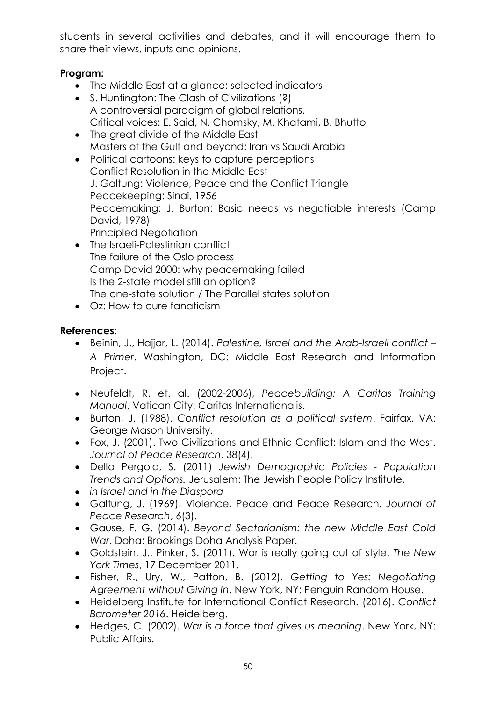students in several activities and debates, and it will encourage them to share their views, inputs and opinions.

### **Program:**

- The Middle East at a glance: selected indicators
- S. Huntington: The Clash of Civilizations (?) A controversial paradigm of global relations. Critical voices: E. Said, N. Chomsky, M. Khatami, B. Bhutto
- The great divide of the Middle East Masters of the Gulf and beyond: Iran vs Saudi Arabia
- Political cartoons: keys to capture perceptions Conflict Resolution in the Middle East J. Galtung: Violence, Peace and the Conflict Triangle Peacekeeping: Sinai, 1956 Peacemaking: J. Burton: Basic needs vs negotiable interests (Camp David, 1978) Principled Neaotiation
- The Israeli-Palestinian conflict The failure of the Oslo process Camp David 2000: why peacemaking failed Is the 2-state model still an option? The one-state solution / The Parallel states solution
- Oz: How to cure fanaticism

### **References:**

- Beinin, J., Hajjar, L. (2014). *Palestine, Israel and the Arab-Israeli conflict – A Primer*. Washington, DC: Middle East Research and Information Project.
- Neufeldt, R. et. al. (2002-2006), *Peacebuilding: A Caritas Training Manual*, Vatican City: Caritas Internationalis.
- Burton, J. (1988). *Conflict resolution as a political system*. Fairfax, VA: George Mason University.
- Fox, J. (2001). Two Civilizations and Ethnic Conflict: Islam and the West. *Journal of Peace Research*, 38(4).
- Della Pergola, S. (2011) *Jewish Demographic Policies - Population Trends and Options.* Jerusalem: The Jewish People Policy Institute.
- *in Israel and in the Diaspora*
- Galtung, J. (1969). Violence, Peace and Peace Research. *Journal of Peace Research*, 6(3).
- Gause, F. G. (2014). *Beyond Sectarianism: the new Middle East Cold War*. Doha: Brookings Doha Analysis Paper.
- Goldstein, J., Pinker, S. (2011). War is really going out of style. *The New York Times*, 17 December 2011.
- Fisher, R., Ury, W., Patton, B. (2012). *Getting to Yes: Negotiating Agreement without Giving In*. New York, NY: Penguin Random House.
- Heidelberg Institute for International Conflict Research. (2016). *Conflict Barometer 2016*. Heidelberg.
- Hedges, C. (2002). *War is a force that gives us meaning*. New York, NY: Public Affairs.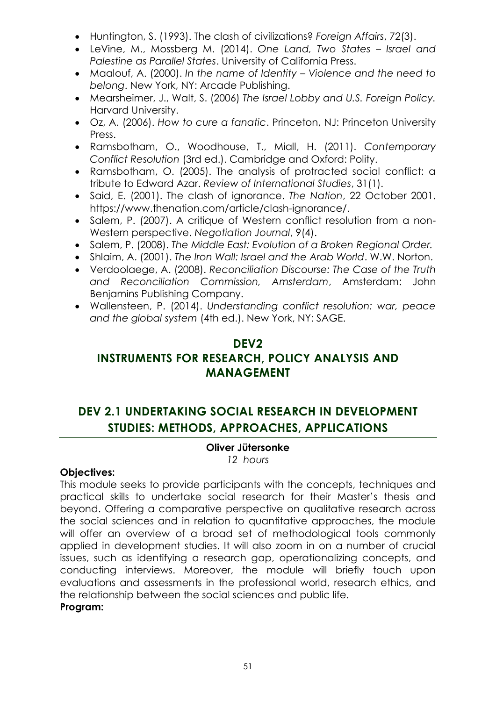- Huntington, S. (1993). The clash of civilizations? *Foreign Affairs*, 72(3).
- LeVine, M., Mossberg M. (2014). *One Land, Two States – Israel and Palestine as Parallel States*. University of California Press.
- Maalouf, A. (2000). *In the name of Identity – Violence and the need to belong*. New York, NY: Arcade Publishing.
- Mearsheimer, J., Walt, S. (2006) *The Israel Lobby and U.S. Foreign Policy.*  Harvard University.
- Oz, A. (2006). *How to cure a fanatic*. Princeton, NJ: Princeton University Press.
- Ramsbotham, O., Woodhouse, T., Miall, H. (2011). *Contemporary Conflict Resolution* (3rd ed.). Cambridge and Oxford: Polity.
- Ramsbotham, O. (2005). The analysis of protracted social conflict: a tribute to Edward Azar. *Review of International Studies*, 31(1).
- Said, E. (2001). The clash of ignorance. *The Nation*, 22 October 2001. [https://www.thenation.com/article/clash-ignorance/.](https://www.thenation.com/article/clash-ignorance/)
- Salem, P. (2007). A critique of Western conflict resolution from a non-Western perspective. *Negotiation Journal*, 9(4).
- Salem, P. (2008). *The Middle East: Evolution of a Broken Regional Order.*
- Shlaim, A. (2001). *The Iron Wall: Israel and the Arab World*. W.W. Norton.
- Verdoolaege, A. (2008). *Reconciliation Discourse: The Case of the Truth and Reconciliation Commission, Amsterdam*, Amsterdam: John Benjamins Publishing Company.
- Wallensteen, P. (2014). *Understanding conflict resolution: war, peace and the global system* (4th ed.). New York, NY: SAGE.

### **DEV2**

## **INSTRUMENTS FOR RESEARCH, POLICY ANALYSIS AND MANAGEMENT**

# **DEV 2.1 UNDERTAKING SOCIAL RESEARCH IN DEVELOPMENT STUDIES: METHODS, APPROACHES, APPLICATIONS**

### **Oliver Jütersonke**

*12 hours*

### **Objectives:**

This module seeks to provide participants with the concepts, techniques and practical skills to undertake social research for their Master's thesis and beyond. Offering a comparative perspective on qualitative research across the social sciences and in relation to quantitative approaches, the module will offer an overview of a broad set of methodological tools commonly applied in development studies. It will also zoom in on a number of crucial issues, such as identifying a research gap, operationalizing concepts, and conducting interviews. Moreover, the module will briefly touch upon evaluations and assessments in the professional world, research ethics, and the relationship between the social sciences and public life.

### **Program:**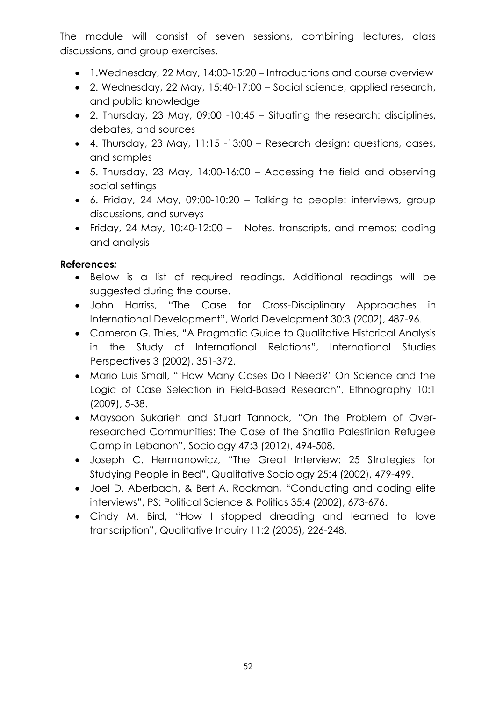The module will consist of seven sessions, combining lectures, class discussions, and group exercises.

- 1.Wednesday, 22 May, 14:00-15:20 Introductions and course overview
- 2. Wednesday, 22 May, 15:40-17:00 Social science, applied research, and public knowledge
- 2. Thursday, 23 May, 09:00 -10:45 Situating the research: disciplines, debates, and sources
- 4. Thursday, 23 May, 11:15 -13:00 Research design: questions, cases, and samples
- 5. Thursday, 23 May, 14:00-16:00 Accessing the field and observing social settings
- 6. Friday, 24 May, 09:00-10:20 Talking to people: interviews, group discussions, and surveys
- Friday, 24 May, 10:40-12:00 Notes, transcripts, and memos: coding and analysis

### **References***:*

- Below is a list of required readings. Additional readings will be suggested during the course.
- John Harriss, "The Case for Cross-Disciplinary Approaches in International Development", World Development 30:3 (2002), 487-96.
- Cameron G. Thies, "A Pragmatic Guide to Qualitative Historical Analysis in the Study of International Relations", International Studies Perspectives 3 (2002), 351-372.
- Mario Luis Small, "'How Many Cases Do I Need?' On Science and the Logic of Case Selection in Field-Based Research", Ethnography 10:1 (2009), 5-38.
- Maysoon Sukarieh and Stuart Tannock, "On the Problem of Overresearched Communities: The Case of the Shatila Palestinian Refugee Camp in Lebanon", Sociology 47:3 (2012), 494-508.
- Joseph C. Hermanowicz, "The Great Interview: 25 Strategies for Studying People in Bed", Qualitative Sociology 25:4 (2002), 479-499.
- Joel D. Aberbach, & Bert A. Rockman, "Conducting and coding elite interviews", PS: Political Science & Politics 35:4 (2002), 673-676.
- Cindy M. Bird, "How I stopped dreading and learned to love transcription", Qualitative Inquiry 11:2 (2005), 226-248.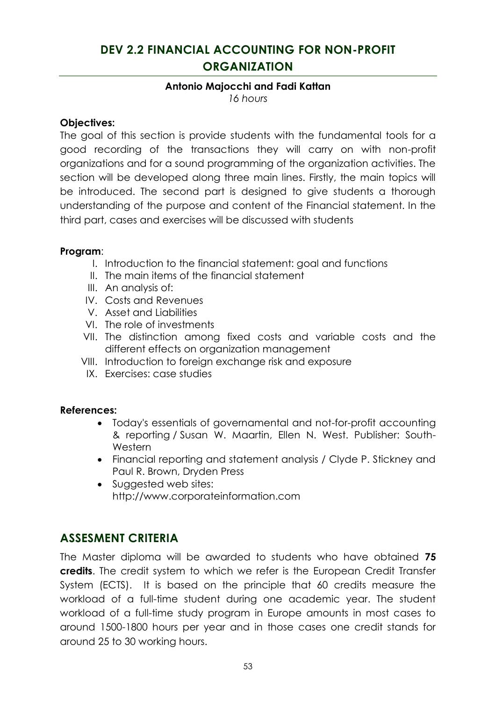# **DEV 2.2 FINANCIAL ACCOUNTING FOR NON-PROFIT ORGANIZATION**

### **Antonio Majocchi and Fadi Kattan**

*16 hours*

### **Objectives:**

The goal of this section is provide students with the fundamental tools for a good recording of the transactions they will carry on with non-profit organizations and for a sound programming of the organization activities. The section will be developed along three main lines. Firstly, the main topics will be introduced. The second part is designed to give students a thorough understanding of the purpose and content of the Financial statement. In the third part, cases and exercises will be discussed with students

#### **Program**:

- I. Introduction to the financial statement: goal and functions
- II. The main items of the financial statement
- III. An analysis of:
- IV. Costs and Revenues
- V. Asset and Liabilities
- VI. The role of investments
- VII. The distinction among fixed costs and variable costs and the different effects on organization management
- VIII. Introduction to foreign exchange risk and exposure
- IX. Exercises: case studies

### **References:**

- Today's essentials of governamental and not-for-profit accounting & reporting / Susan W. Maartin, Ellen N. West. Publisher: South-Western
- Financial reporting and statement analysis / Clyde P. Stickney and Paul R. Brown, Dryden Press
- Suggested web sites: http://www.corporateinformation.com

### **ASSESMENT CRITERIA**

The Master diploma will be awarded to students who have obtained **75 credits**. The credit system to which we refer is the European Credit Transfer System (ECTS). It is based on the principle that 60 credits measure the workload of a full-time student during one academic year. The student workload of a full-time study program in Europe amounts in most cases to around 1500-1800 hours per year and in those cases one credit stands for around 25 to 30 working hours.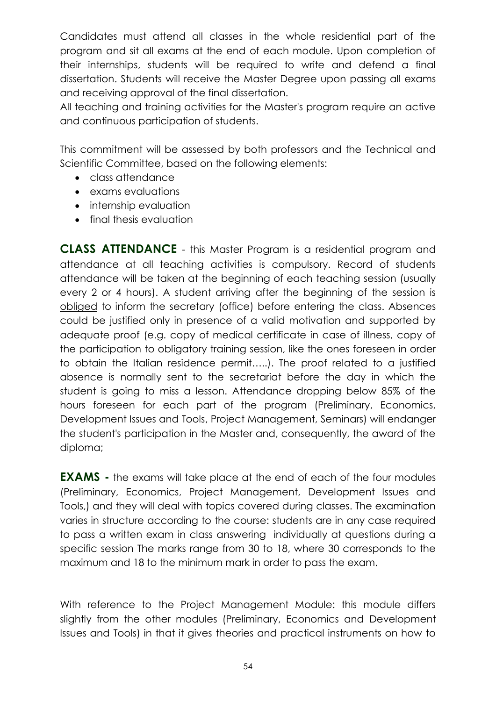Candidates must attend all classes in the whole residential part of the program and sit all exams at the end of each module. Upon completion of their internships, students will be required to write and defend a final dissertation. Students will receive the Master Degree upon passing all exams and receiving approval of the final dissertation.

All teaching and training activities for the Master's program require an active and continuous participation of students.

This commitment will be assessed by both professors and the Technical and Scientific Committee, based on the following elements:

- class attendance
- exams evaluations
- internship evaluation
- final thesis evaluation

**CLASS ATTENDANCE** - this Master Program is a residential program and attendance at all teaching activities is compulsory. Record of students attendance will be taken at the beginning of each teaching session (usually every 2 or 4 hours). A student arriving after the beginning of the session is obliged to inform the secretary (office) before entering the class. Absences could be justified only in presence of a valid motivation and supported by adequate proof (e.g. copy of medical certificate in case of illness, copy of the participation to obligatory training session, like the ones foreseen in order to obtain the Italian residence permit…..). The proof related to a justified absence is normally sent to the secretariat before the day in which the student is going to miss a lesson. Attendance dropping below 85% of the hours foreseen for each part of the program (Preliminary, Economics, Development Issues and Tools, Project Management, Seminars) will endanger the student's participation in the Master and, consequently, the award of the diploma;

**EXAMS** - the exams will take place at the end of each of the four modules (Preliminary, Economics, Project Management, Development Issues and Tools,) and they will deal with topics covered during classes. The examination varies in structure according to the course: students are in any case required to pass a written exam in class answering individually at questions during a specific session The marks range from 30 to 18, where 30 corresponds to the maximum and 18 to the minimum mark in order to pass the exam.

With reference to the Project Management Module: this module differs slightly from the other modules (Preliminary, Economics and Development Issues and Tools) in that it gives theories and practical instruments on how to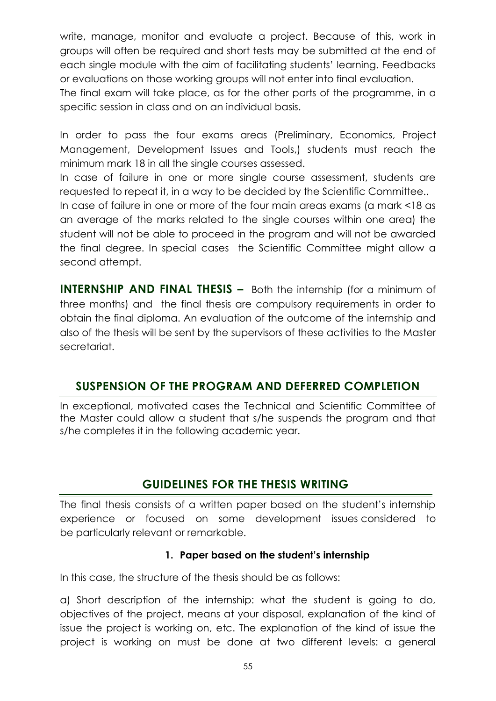write, manage, monitor and evaluate a project. Because of this, work in groups will often be required and short tests may be submitted at the end of each single module with the aim of facilitating students' learning. Feedbacks or evaluations on those working groups will not enter into final evaluation.

The final exam will take place, as for the other parts of the programme, in a specific session in class and on an individual basis.

In order to pass the four exams areas (Preliminary, Economics, Project Management, Development Issues and Tools,) students must reach the minimum mark 18 in all the single courses assessed.

In case of failure in one or more single course assessment, students are requested to repeat it, in a way to be decided by the Scientific Committee..

In case of failure in one or more of the four main areas exams (a mark <18 as an average of the marks related to the single courses within one area) the student will not be able to proceed in the program and will not be awarded the final degree. In special cases the Scientific Committee might allow a second attempt.

**INTERNSHIP AND FINAL THESIS –** Both the internship (for a minimum of three months) and the final thesis are compulsory requirements in order to obtain the final diploma. An evaluation of the outcome of the internship and also of the thesis will be sent by the supervisors of these activities to the Master secretariat.

## **SUSPENSION OF THE PROGRAM AND DEFERRED COMPLETION**

In exceptional, motivated cases the Technical and Scientific Committee of the Master could allow a student that s/he suspends the program and that s/he completes it in the following academic year.

## **GUIDELINES FOR THE THESIS WRITING**

The final thesis consists of a written paper based on the student's internship experience or focused on some development issues considered to be particularly relevant or remarkable.

### **1. Paper based on the student's internship**

In this case, the structure of the thesis should be as follows:

a) Short description of the internship: what the student is going to do, objectives of the project, means at your disposal, explanation of the kind of issue the project is working on, etc. The explanation of the kind of issue the project is working on must be done at two different levels: a general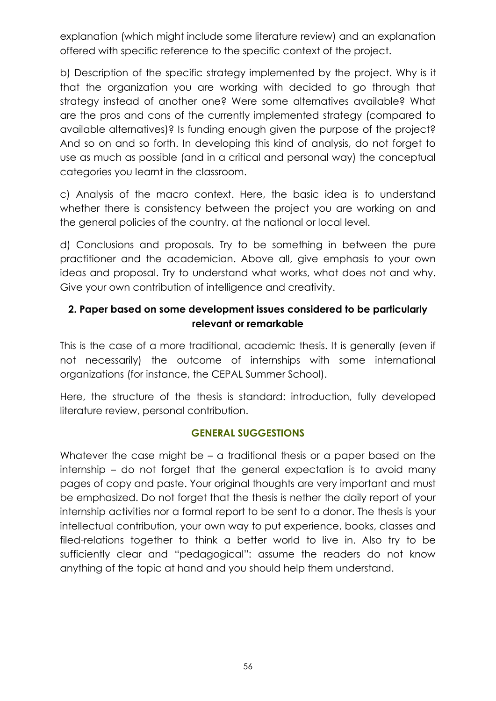explanation (which might include some literature review) and an explanation offered with specific reference to the specific context of the project.

b) Description of the specific strategy implemented by the project. Why is it that the organization you are working with decided to go through that strategy instead of another one? Were some alternatives available? What are the pros and cons of the currently implemented strategy (compared to available alternatives)? Is funding enough given the purpose of the project? And so on and so forth. In developing this kind of analysis, do not forget to use as much as possible (and in a critical and personal way) the conceptual categories you learnt in the classroom.

c) Analysis of the macro context. Here, the basic idea is to understand whether there is consistency between the project you are working on and the general policies of the country, at the national or local level.

d) Conclusions and proposals. Try to be something in between the pure practitioner and the academician. Above all, give emphasis to your own ideas and proposal. Try to understand what works, what does not and why. Give your own contribution of intelligence and creativity.

### **2. Paper based on some development issues considered to be particularly relevant or remarkable**

This is the case of a more traditional, academic thesis. It is generally (even if not necessarily) the outcome of internships with some international organizations (for instance, the CEPAL Summer School).

Here, the structure of the thesis is standard: introduction, fully developed literature review, personal contribution.

### **GENERAL SUGGESTIONS**

Whatever the case might be – a traditional thesis or a paper based on the internship – do not forget that the general expectation is to avoid many pages of copy and paste. Your original thoughts are very important and must be emphasized. Do not forget that the thesis is nether the daily report of your internship activities nor a formal report to be sent to a donor. The thesis is your intellectual contribution, your own way to put experience, books, classes and filed-relations together to think a better world to live in. Also try to be sufficiently clear and "pedagogical": assume the readers do not know anything of the topic at hand and you should help them understand.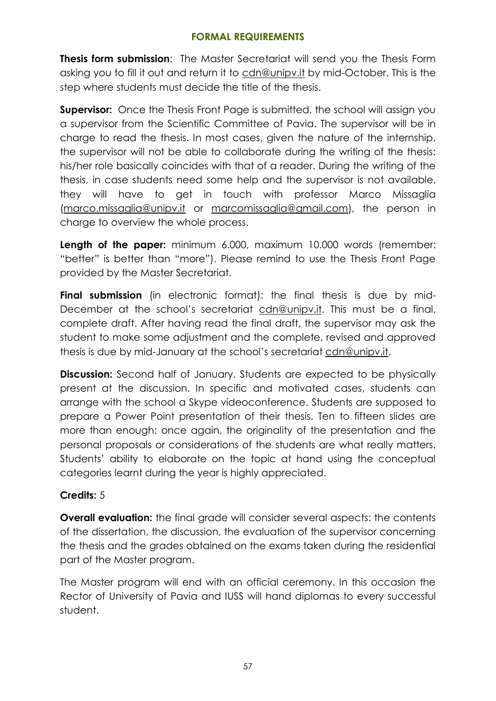### **FORMAL REQUIREMENTS**

**Thesis form submission**: The Master Secretariat will send you the Thesis Form asking you to fill it out and return it to cdn@unipv.it by mid-October. This is the step where students must decide the title of the thesis.

**Supervisor:** Once the Thesis Front Page is submitted, the school will assign you a supervisor from the Scientific Committee of Pavia. The supervisor will be in charge to read the thesis. In most cases, given the nature of the internship, the supervisor will not be able to collaborate during the writing of the thesis: his/her role basically coincides with that of a reader. During the writing of the thesis, in case students need some help and the supervisor is not available, they will have to get in touch with professor Marco Missaglia [\(marco.missaglia@unipv.it](mailto:marco.missaglia@unipv.it) or [marcomissaglia@gmail.com\)](mailto:marcomissaglia@gmail.com), the person in charge to overview the whole process.

**Length of the paper:** minimum 6.000, maximum 10.000 words (remember: "better" is better than "more"). Please remind to use the Thesis Front Page provided by the Master Secretariat.

**Final submission** (in electronic format): the final thesis is due by mid-December at the school's secretariat cdn@unipv.it. This must be a final, complete draft. After having read the final draft, the supervisor may ask the student to make some adjustment and the complete, revised and approved thesis is due by mid-January at the school's secretariat cdn@unipv.it.

**Discussion:** Second half of January. Students are expected to be physically present at the discussion. In specific and motivated cases, students can arrange with the school a Skype videoconference. Students are supposed to prepare a Power Point presentation of their thesis. Ten to fifteen slides are more than enough: once again, the originality of the presentation and the personal proposals or considerations of the students are what really matters. Students' ability to elaborate on the topic at hand using the conceptual categories learnt during the year is highly appreciated.

### **Credits:** 5

**Overall evaluation:** the final grade will consider several aspects: the contents of the dissertation, the discussion, the evaluation of the supervisor concerning the thesis and the grades obtained on the exams taken during the residential part of the Master program.

The Master program will end with an official ceremony. In this occasion the Rector of University of Pavia and IUSS will hand diplomas to every successful student.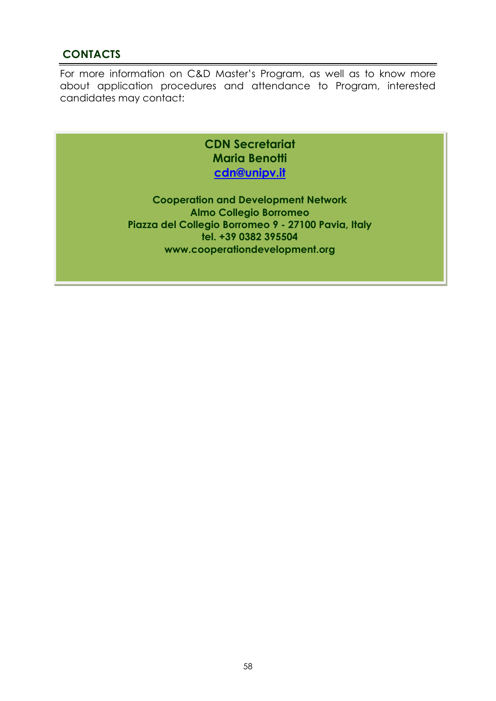### **CONTACTS**

For more information on C&D Master's Program, as well as to know more about application procedures and attendance to Program, interested candidates may contact:

> **CDN Secretariat Maria Benotti [cdn@unipv.it](mailto:cdn@unipv.it)**

**Cooperation and Development Network Almo Collegio Borromeo Piazza del Collegio Borromeo 9 - 27100 Pavia, Italy tel. +39 0382 395504 www.cooperationdevelopment.org**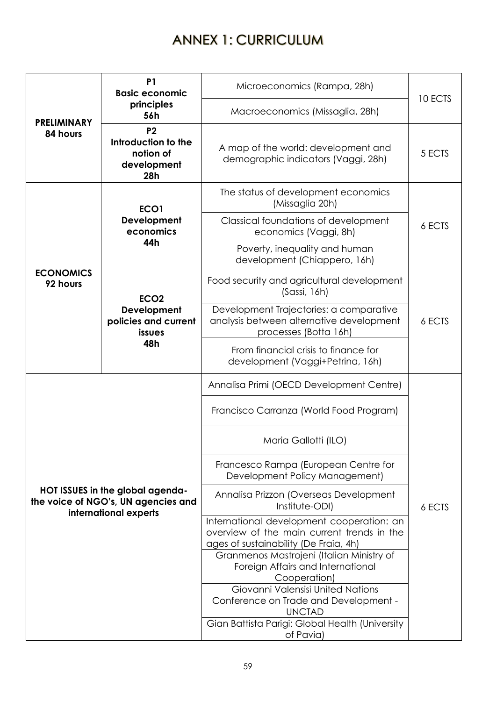# ANNEX 1: CURRICULUM

|                                                                                                  | <b>P1</b><br><b>Basic economic</b>                                       | Microeconomics (Rampa, 28h)                                                                                                                                 | 10 ECTS |  |
|--------------------------------------------------------------------------------------------------|--------------------------------------------------------------------------|-------------------------------------------------------------------------------------------------------------------------------------------------------------|---------|--|
| <b>PRELIMINARY</b>                                                                               | principles<br>56h                                                        | Macroeconomics (Missaglia, 28h)                                                                                                                             |         |  |
| 84 hours                                                                                         | P <sub>2</sub><br>Introduction to the<br>notion of<br>development<br>28h | A map of the world: development and<br>demographic indicators (Vaggi, 28h)                                                                                  | 5 ECTS  |  |
|                                                                                                  | ECO <sub>1</sub>                                                         | The status of development economics<br>(Missaglia 20h)                                                                                                      |         |  |
|                                                                                                  | Development<br>economics                                                 | Classical foundations of development<br>economics (Vaggi, 8h)                                                                                               | 6 ECTS  |  |
|                                                                                                  | 44h                                                                      | Poverty, inequality and human<br>development (Chiappero, 16h)                                                                                               |         |  |
| <b>ECONOMICS</b><br>92 hours                                                                     | ECO <sub>2</sub>                                                         | Food security and agricultural development<br>(Sassi, 16h)                                                                                                  |         |  |
|                                                                                                  | Development<br>policies and current<br>issues<br>48h                     | Development Trajectories: a comparative<br>analysis between alternative development<br>processes (Botta 16h)                                                | 6 ECTS  |  |
|                                                                                                  |                                                                          | From financial crisis to finance for<br>development (Vaggi+Petrina, 16h)                                                                                    |         |  |
|                                                                                                  |                                                                          | Annalisa Primi (OECD Development Centre)                                                                                                                    |         |  |
|                                                                                                  |                                                                          | Francisco Carranza (World Food Program)                                                                                                                     |         |  |
|                                                                                                  |                                                                          | Maria Gallotti (ILO)                                                                                                                                        |         |  |
|                                                                                                  |                                                                          | Francesco Rampa (European Centre for<br>Development Policy Management)                                                                                      |         |  |
| HOT ISSUES in the global agenda-<br>the voice of NGO's, UN agencies and<br>international experts |                                                                          | Annalisa Prizzon (Overseas Development<br>Institute-ODI)                                                                                                    | 6 ECTS  |  |
|                                                                                                  |                                                                          | International development cooperation: an<br>overview of the main current trends in the<br>ages of sustainability (De Fraia, 4h)                            |         |  |
|                                                                                                  |                                                                          | Granmenos Mastrojeni (Italian Ministry of<br>Foreign Affairs and International<br>Cooperation)                                                              |         |  |
|                                                                                                  |                                                                          | Giovanni Valensisi United Nations<br>Conference on Trade and Development -<br><b>UNCTAD</b><br>Gian Battista Parigi: Global Health (University<br>of Pavia) |         |  |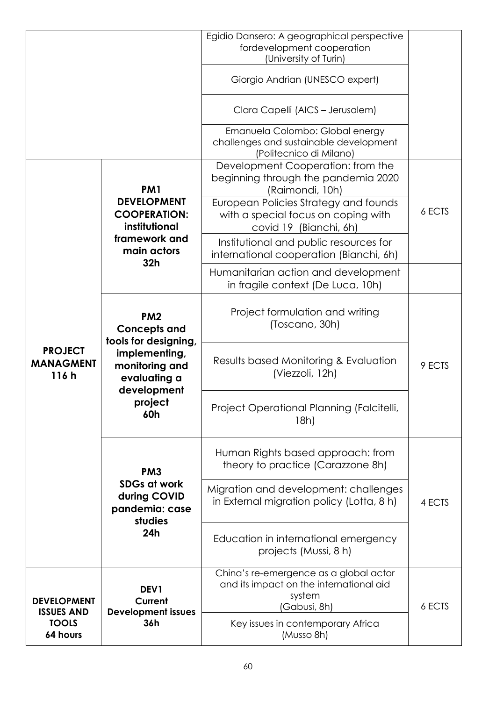|                                                                     |                                                                                                                   | Egidio Dansero: A geographical perspective                                                                                                                                  |        |
|---------------------------------------------------------------------|-------------------------------------------------------------------------------------------------------------------|-----------------------------------------------------------------------------------------------------------------------------------------------------------------------------|--------|
|                                                                     |                                                                                                                   | fordevelopment cooperation<br>(University of Turin)                                                                                                                         |        |
|                                                                     |                                                                                                                   | Giorgio Andrian (UNESCO expert)                                                                                                                                             |        |
|                                                                     |                                                                                                                   | Clara Capelli (AICS - Jerusalem)                                                                                                                                            |        |
|                                                                     |                                                                                                                   | Emanuela Colombo: Global energy<br>challenges and sustainable development<br>(Politecnico di Milano)                                                                        |        |
|                                                                     | PM <sub>1</sub><br><b>DEVELOPMENT</b><br><b>COOPERATION:</b>                                                      | Development Cooperation: from the<br>beginning through the pandemia 2020<br>(Raimondi, 10h)<br>European Policies Strategy and founds<br>with a special focus on coping with | 6 ECTS |
|                                                                     | institutional<br>framework and<br>main actors<br>32h                                                              | covid 19 (Bianchi, 6h)<br>Institutional and public resources for<br>international cooperation (Bianchi, 6h)                                                                 |        |
| <b>PROJECT</b><br><b>MANAGMENT</b><br>116h                          |                                                                                                                   | Humanitarian action and development<br>in fragile context (De Luca, 10h)                                                                                                    |        |
|                                                                     | PM <sub>2</sub><br><b>Concepts and</b><br>tools for designing,<br>implementing,<br>monitoring and<br>evaluating a | Project formulation and writing<br>(Toscano, 30h)                                                                                                                           |        |
|                                                                     |                                                                                                                   | Results based Monitoring & Evaluation<br>(Viezzoli, 12h)                                                                                                                    | 9 ECTS |
|                                                                     | development<br>project<br>60h                                                                                     | Project Operational Planning (Falcitelli,<br>18h)                                                                                                                           |        |
|                                                                     | PM <sub>3</sub><br><b>SDGs at work</b><br>during COVID<br>pandemia: case                                          | Human Rights based approach: from<br>theory to practice (Carazzone 8h)                                                                                                      |        |
|                                                                     |                                                                                                                   | Migration and development: challenges<br>in External migration policy (Lotta, 8 h)                                                                                          | 4 ECTS |
| <b>DEVELOPMENT</b><br><b>ISSUES AND</b><br><b>TOOLS</b><br>64 hours | studies<br>24h<br>DEV1<br>Current<br><b>Development issues</b><br>36h                                             | Education in international emergency<br>projects (Mussi, 8 h)                                                                                                               |        |
|                                                                     |                                                                                                                   | China's re-emergence as a global actor<br>and its impact on the international aid<br>system<br>(Gabusi, 8h)                                                                 | 6 ECTS |
|                                                                     |                                                                                                                   | Key issues in contemporary Africa<br>(Musso 8h)                                                                                                                             |        |